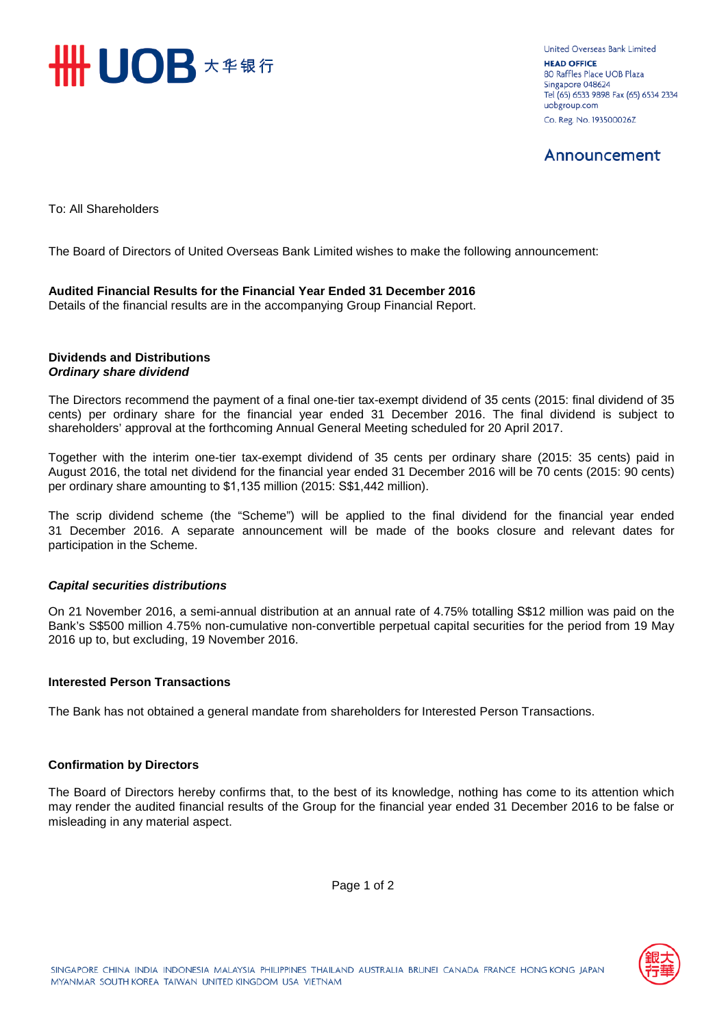

United Overseas Bank Limited **HEAD OFFICE** 80 Raffles Place UOB Plaza Singapore 048624 Tel (65) 6533 9898 Fax (65) 6534 2334 uobgroup.com Co. Reg. No. 193500026Z

Announcement

To: All Shareholders

The Board of Directors of United Overseas Bank Limited wishes to make the following announcement:

#### **Audited Financial Results for the Financial Year Ended 31 December 2016**

Details of the financial results are in the accompanying Group Financial Report.

#### **Dividends and Distributions** *Ordinary share dividend*

The Directors recommend the payment of a final one-tier tax-exempt dividend of 35 cents (2015: final dividend of 35 cents) per ordinary share for the financial year ended 31 December 2016. The final dividend is subject to shareholders' approval at the forthcoming Annual General Meeting scheduled for 20 April 2017.

Together with the interim one-tier tax-exempt dividend of 35 cents per ordinary share (2015: 35 cents) paid in August 2016, the total net dividend for the financial year ended 31 December 2016 will be 70 cents (2015: 90 cents) per ordinary share amounting to \$1,135 million (2015: S\$1,442 million).

The scrip dividend scheme (the "Scheme") will be applied to the final dividend for the financial year ended 31 December 2016. A separate announcement will be made of the books closure and relevant dates for participation in the Scheme.

#### *Capital securities distributions*

On 21 November 2016, a semi-annual distribution at an annual rate of 4.75% totalling S\$12 million was paid on the Bank's S\$500 million 4.75% non-cumulative non-convertible perpetual capital securities for the period from 19 May 2016 up to, but excluding, 19 November 2016.

#### **Interested Person Transactions**

The Bank has not obtained a general mandate from shareholders for Interested Person Transactions.

#### **Confirmation by Directors**

The Board of Directors hereby confirms that, to the best of its knowledge, nothing has come to its attention which may render the audited financial results of the Group for the financial year ended 31 December 2016 to be false or misleading in any material aspect.

Page 1 of 2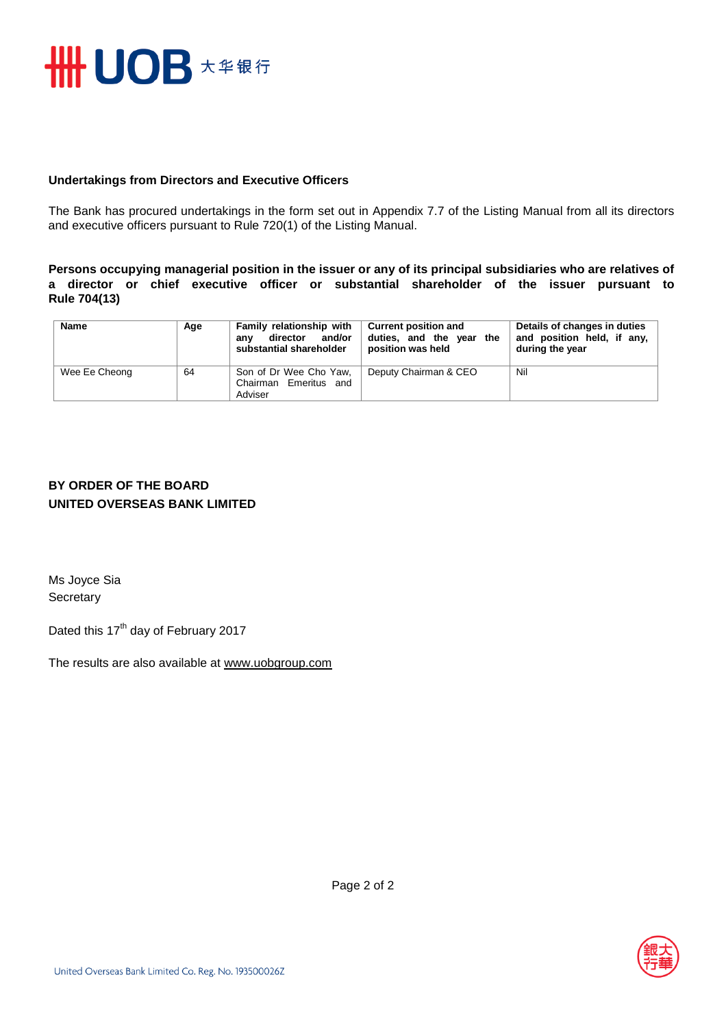

#### **Undertakings from Directors and Executive Officers**

The Bank has procured undertakings in the form set out in Appendix 7.7 of the Listing Manual from all its directors and executive officers pursuant to Rule 720(1) of the Listing Manual.

**Persons occupying managerial position in the issuer or any of its principal subsidiaries who are relatives of a director or chief executive officer or substantial shareholder of the issuer pursuant to Rule 704(13)**

| Name          | Age | Family relationship with<br>and/or<br>director<br>anv<br>substantial shareholder | <b>Current position and</b><br>duties, and the year the<br>position was held | Details of changes in duties<br>and position held, if any,<br>during the year |
|---------------|-----|----------------------------------------------------------------------------------|------------------------------------------------------------------------------|-------------------------------------------------------------------------------|
| Wee Ee Cheong | 64  | Son of Dr Wee Cho Yaw,<br>Chairman Emeritus and<br>Adviser                       | Deputy Chairman & CEO                                                        | Nil                                                                           |

### **BY ORDER OF THE BOARD UNITED OVERSEAS BANK LIMITED**

Ms Joyce Sia **Secretary** 

Dated this 17<sup>th</sup> day of February 2017

The results are also available at www.uob[group.com](http://www.uobgroup.com/)



Page 2 of 2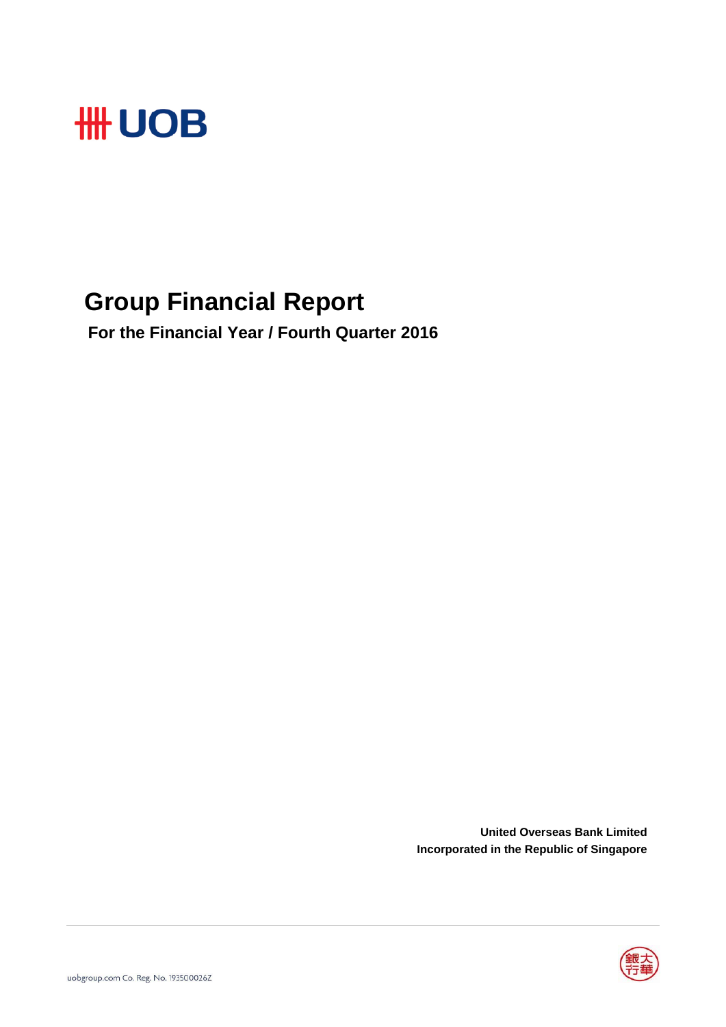

# **Group Financial Report**

 **For the Financial Year / Fourth Quarter 2016**

**United Overseas Bank Limited Incorporated in the Republic of Singapore**

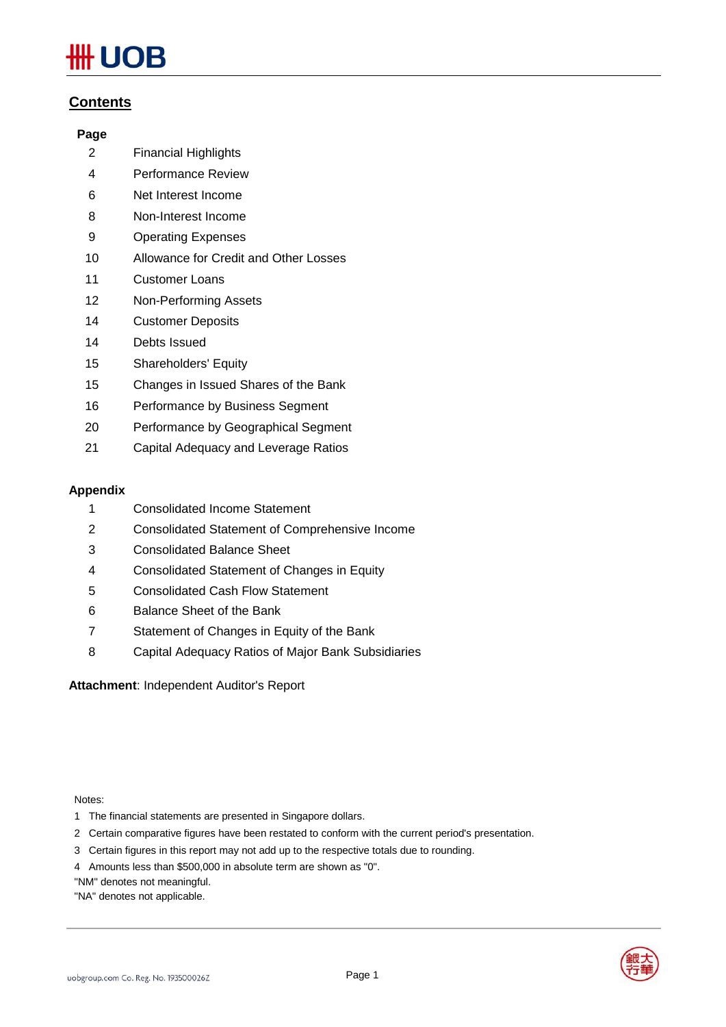# **JOB**

### **Contents**

#### **Page**

- Financial Highlights
- Performance Review
- Net Interest Income
- Non-Interest Income
- Operating Expenses
- Allowance for Credit and Other Losses
- Customer Loans
- Non-Performing Assets
- Customer Deposits
- Debts Issued
- Shareholders' Equity
- Changes in Issued Shares of the Bank
- Performance by Business Segment
- Performance by Geographical Segment
- Capital Adequacy and Leverage Ratios

#### **Appendix**

- Consolidated Income Statement
- Consolidated Statement of Comprehensive Income
- Consolidated Balance Sheet
- Consolidated Statement of Changes in Equity
- Consolidated Cash Flow Statement
- Balance Sheet of the Bank
- Statement of Changes in Equity of the Bank
- Capital Adequacy Ratios of Major Bank Subsidiaries

**Attachment**: Independent Auditor's Report

Notes:

- 1 The financial statements are presented in Singapore dollars.
- 2 Certain comparative figures have been restated to conform with the current period's presentation.
- 3 Certain figures in this report may not add up to the respective totals due to rounding.
- 4 Amounts less than \$500,000 in absolute term are shown as "0".

"NM" denotes not meaningful.

"NA" denotes not applicable.

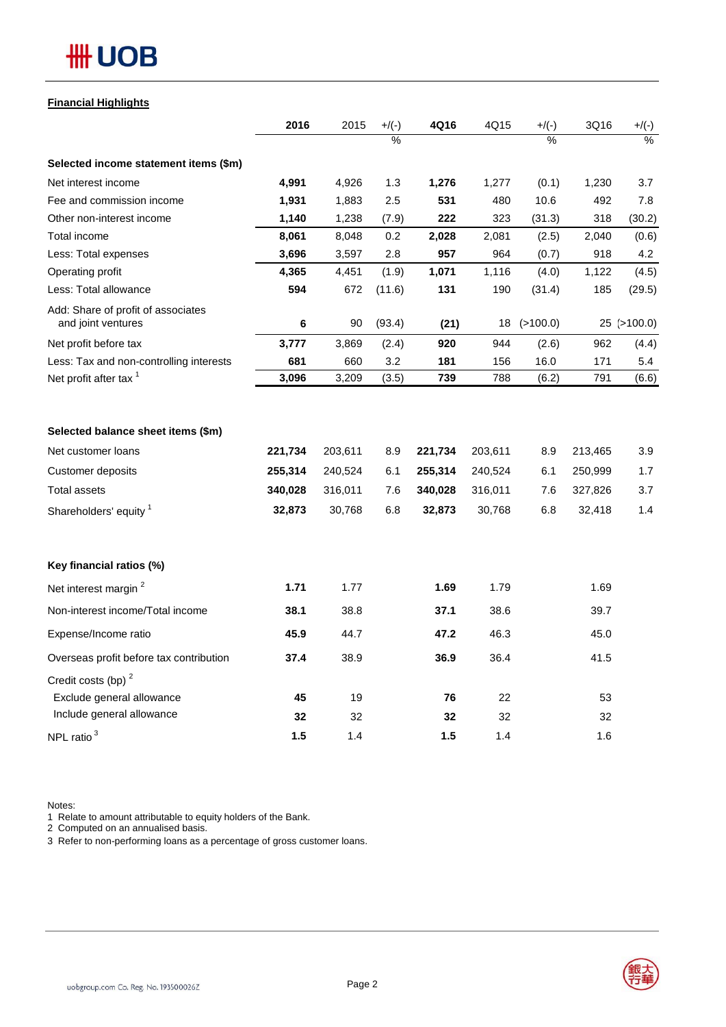#### **Financial Highlights**

|                                                                                                 | 2016                                    | 2015                                    | $+$ /(-)                 | 4Q16                                    | 4Q15                                    | $+$ /(-)                 | 3Q16                                    | $+/(-)$                  |
|-------------------------------------------------------------------------------------------------|-----------------------------------------|-----------------------------------------|--------------------------|-----------------------------------------|-----------------------------------------|--------------------------|-----------------------------------------|--------------------------|
|                                                                                                 |                                         |                                         | %                        |                                         |                                         | %                        |                                         | $\%$                     |
| Selected income statement items (\$m)                                                           |                                         |                                         |                          |                                         |                                         |                          |                                         |                          |
| Net interest income                                                                             | 4,991                                   | 4,926                                   | 1.3                      | 1,276                                   | 1,277                                   | (0.1)                    | 1,230                                   | 3.7                      |
| Fee and commission income                                                                       | 1,931                                   | 1,883                                   | 2.5                      | 531                                     | 480                                     | 10.6                     | 492                                     | 7.8                      |
| Other non-interest income                                                                       | 1,140                                   | 1,238                                   | (7.9)                    | 222                                     | 323                                     | (31.3)                   | 318                                     | (30.2)                   |
| Total income                                                                                    | 8,061                                   | 8,048                                   | 0.2                      | 2,028                                   | 2,081                                   | (2.5)                    | 2,040                                   | (0.6)                    |
| Less: Total expenses                                                                            | 3,696                                   | 3,597                                   | 2.8                      | 957                                     | 964                                     | (0.7)                    | 918                                     | 4.2                      |
| Operating profit                                                                                | 4,365                                   | 4,451                                   | (1.9)                    | 1,071                                   | 1,116                                   | (4.0)                    | 1,122                                   | (4.5)                    |
| Less: Total allowance                                                                           | 594                                     | 672                                     | (11.6)                   | 131                                     | 190                                     | (31.4)                   | 185                                     | (29.5)                   |
| Add: Share of profit of associates<br>and joint ventures                                        | 6                                       | 90                                      | (93.4)                   | (21)                                    |                                         | 18 (>100.0)              |                                         | 25 (>100.0)              |
| Net profit before tax                                                                           | 3,777                                   | 3,869                                   | (2.4)                    | 920                                     | 944                                     | (2.6)                    | 962                                     | (4.4)                    |
| Less: Tax and non-controlling interests                                                         | 681                                     | 660                                     | 3.2                      | 181                                     | 156                                     | 16.0                     | 171                                     | 5.4                      |
| Net profit after tax <sup>1</sup>                                                               | 3,096                                   | 3,209                                   | (3.5)                    | 739                                     | 788                                     | (6.2)                    | 791                                     | (6.6)                    |
| Net customer loans<br><b>Customer deposits</b><br><b>Total assets</b><br>Shareholders' equity 1 | 221,734<br>255,314<br>340,028<br>32,873 | 203,611<br>240,524<br>316,011<br>30,768 | 8.9<br>6.1<br>7.6<br>6.8 | 221,734<br>255,314<br>340,028<br>32,873 | 203,611<br>240,524<br>316,011<br>30,768 | 8.9<br>6.1<br>7.6<br>6.8 | 213,465<br>250,999<br>327,826<br>32,418 | 3.9<br>1.7<br>3.7<br>1.4 |
| Key financial ratios (%)                                                                        |                                         |                                         |                          |                                         |                                         |                          |                                         |                          |
| Net interest margin <sup>2</sup>                                                                | 1.71                                    | 1.77                                    |                          | 1.69                                    | 1.79                                    |                          | 1.69                                    |                          |
| Non-interest income/Total income                                                                | 38.1                                    | 38.8                                    |                          | 37.1                                    | 38.6                                    |                          | 39.7                                    |                          |
| Expense/Income ratio                                                                            | 45.9                                    | 44.7                                    |                          | 47.2                                    | 46.3                                    |                          | 45.0                                    |                          |
| Overseas profit before tax contribution                                                         | 37.4                                    | 38.9                                    |                          | 36.9                                    | 36.4                                    |                          | 41.5                                    |                          |
| Credit costs (bp) <sup>2</sup>                                                                  |                                         |                                         |                          |                                         |                                         |                          |                                         |                          |
| Exclude general allowance<br>Include general allowance                                          | 45                                      | 19                                      |                          | 76                                      | 22                                      |                          | 53                                      |                          |
|                                                                                                 | 32                                      | 32                                      |                          | 32                                      | 32                                      |                          | 32                                      |                          |
| NPL ratio <sup>3</sup>                                                                          | 1.5                                     | 1.4                                     |                          | 1.5                                     | 1.4                                     |                          | 1.6                                     |                          |

Notes:

1 Relate to amount attributable to equity holders of the Bank.

2 Computed on an annualised basis.

3 Refer to non-performing loans as a percentage of gross customer loans.

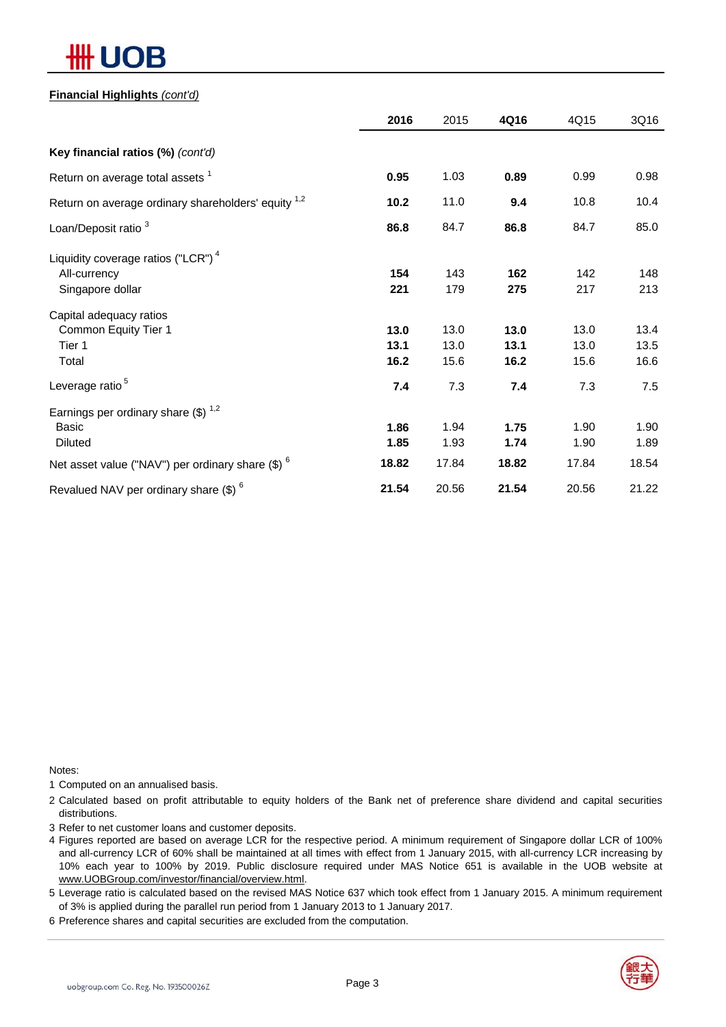# 12

#### **Financial Highlights** *(cont'd)*

|                                                        | 2016  | 2015  | 4Q16  | 4Q15  | 3Q16  |
|--------------------------------------------------------|-------|-------|-------|-------|-------|
| Key financial ratios (%) (cont'd)                      |       |       |       |       |       |
| Return on average total assets <sup>1</sup>            | 0.95  | 1.03  | 0.89  | 0.99  | 0.98  |
| Return on average ordinary shareholders' equity 1,2    | 10.2  | 11.0  | 9.4   | 10.8  | 10.4  |
| Loan/Deposit ratio <sup>3</sup>                        | 86.8  | 84.7  | 86.8  | 84.7  | 85.0  |
| Liquidity coverage ratios ("LCR") <sup>4</sup>         |       |       |       |       |       |
| All-currency                                           | 154   | 143   | 162   | 142   | 148   |
| Singapore dollar                                       | 221   | 179   | 275   | 217   | 213   |
| Capital adequacy ratios                                |       |       |       |       |       |
| Common Equity Tier 1                                   | 13.0  | 13.0  | 13.0  | 13.0  | 13.4  |
| Tier 1                                                 | 13.1  | 13.0  | 13.1  | 13.0  | 13.5  |
| Total                                                  | 16.2  | 15.6  | 16.2  | 15.6  | 16.6  |
| Leverage ratio <sup>5</sup>                            | 7.4   | 7.3   | 7.4   | 7.3   | 7.5   |
| Earnings per ordinary share $(\$)^{1,2}$               |       |       |       |       |       |
| <b>Basic</b>                                           | 1.86  | 1.94  | 1.75  | 1.90  | 1.90  |
| <b>Diluted</b>                                         | 1.85  | 1.93  | 1.74  | 1.90  | 1.89  |
| Net asset value ("NAV") per ordinary share $(\$)$ $^6$ | 18.82 | 17.84 | 18.82 | 17.84 | 18.54 |
| Revalued NAV per ordinary share (\$) <sup>6</sup>      | 21.54 | 20.56 | 21.54 | 20.56 | 21.22 |

Notes:

1 Computed on an annualised basis.

2 Calculated based on profit attributable to equity holders of the Bank net of preference share dividend and capital securities distributions.

3 Refer to net customer loans and customer deposits.

4 Figures reported are based on average LCR for the respective period. A minimum requirement of Singapore dollar LCR of 100% and all-currency LCR of 60% shall be maintained at all times with effect from 1 January 2015, with all-currency LCR increasing by 10% each year to 100% by 2019. Public disclosure required under MAS Notice 651 is available in the UOB website at www.UOBGroup.com/investor/financial/overview.html.

5 Leverage ratio is calculated based on the revised MAS Notice 637 which took effect from 1 January 2015. A minimum requirement of 3% is applied during the parallel run period from 1 January 2013 to 1 January 2017.

6 Preference shares and capital securities are excluded from the computation.

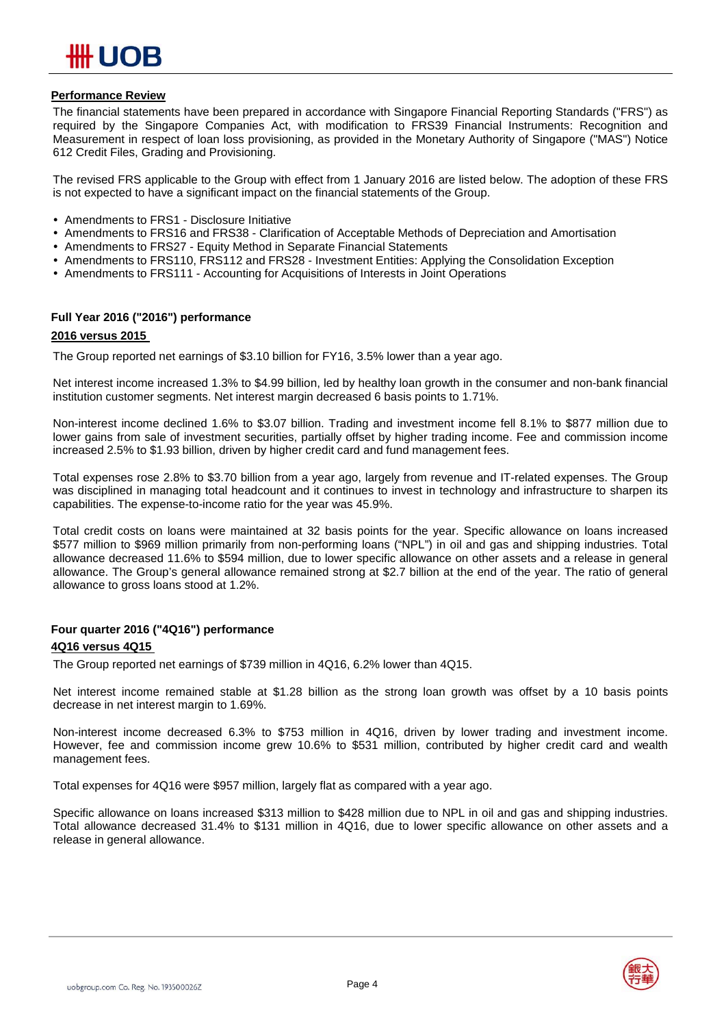# ## UOB

#### **Performance Review**

The financial statements have been prepared in accordance with Singapore Financial Reporting Standards ("FRS") as required by the Singapore Companies Act, with modification to FRS39 Financial Instruments: Recognition and Measurement in respect of loan loss provisioning, as provided in the Monetary Authority of Singapore ("MAS") Notice 612 Credit Files, Grading and Provisioning.

The revised FRS applicable to the Group with effect from 1 January 2016 are listed below. The adoption of these FRS is not expected to have a significant impact on the financial statements of the Group.

- Amendments to FRS1 Disclosure Initiative
- Amendments to FRS16 and FRS38 Clarification of Acceptable Methods of Depreciation and Amortisation
- Amendments to FRS27 Equity Method in Separate Financial Statements
- Amendments to FRS110, FRS112 and FRS28 Investment Entities: Applying the Consolidation Exception
- Amendments to FRS111 Accounting for Acquisitions of Interests in Joint Operations

#### **Full Year 2016 ("2016") performance**

#### **2016 versus 2015**

The Group reported net earnings of \$3.10 billion for FY16, 3.5% lower than a year ago.

Net interest income increased 1.3% to \$4.99 billion, led by healthy loan growth in the consumer and non-bank financial institution customer segments. Net interest margin decreased 6 basis points to 1.71%.

Non-interest income declined 1.6% to \$3.07 billion. Trading and investment income fell 8.1% to \$877 million due to lower gains from sale of investment securities, partially offset by higher trading income. Fee and commission income increased 2.5% to \$1.93 billion, driven by higher credit card and fund management fees.

Total expenses rose 2.8% to \$3.70 billion from a year ago, largely from revenue and IT-related expenses. The Group was disciplined in managing total headcount and it continues to invest in technology and infrastructure to sharpen its capabilities. The expense-to-income ratio for the year was 45.9%.

Total credit costs on loans were maintained at 32 basis points for the year. Specific allowance on loans increased \$577 million to \$969 million primarily from non-performing loans ("NPL") in oil and gas and shipping industries. Total allowance decreased 11.6% to \$594 million, due to lower specific allowance on other assets and a release in general allowance. The Group's general allowance remained strong at \$2.7 billion at the end of the year. The ratio of general allowance to gross loans stood at 1.2%.

#### **Four quarter 2016 ("4Q16") performance**

#### **4Q16 versus 4Q15**

The Group reported net earnings of \$739 million in 4Q16, 6.2% lower than 4Q15.

Net interest income remained stable at \$1.28 billion as the strong loan growth was offset by a 10 basis points decrease in net interest margin to 1.69%.

Non-interest income decreased 6.3% to \$753 million in 4Q16, driven by lower trading and investment income. However, fee and commission income grew 10.6% to \$531 million, contributed by higher credit card and wealth management fees.

Total expenses for 4Q16 were \$957 million, largely flat as compared with a year ago.

Specific allowance on loans increased \$313 million to \$428 million due to NPL in oil and gas and shipping industries. Total allowance decreased 31.4% to \$131 million in 4Q16, due to lower specific allowance on other assets and a release in general allowance.

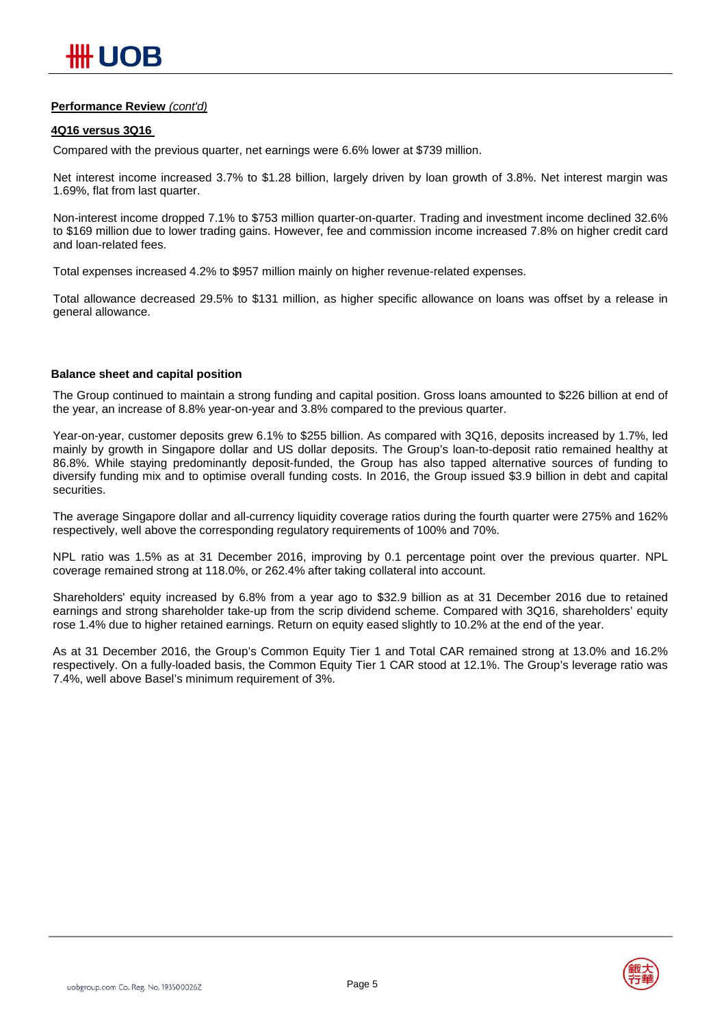#### **Performance Review** *(cont'd)*

#### **4Q16 versus 3Q16**

Compared with the previous quarter, net earnings were 6.6% lower at \$739 million.

Net interest income increased 3.7% to \$1.28 billion, largely driven by loan growth of 3.8%. Net interest margin was 1.69%, flat from last quarter.

Non-interest income dropped 7.1% to \$753 million quarter-on-quarter. Trading and investment income declined 32.6% to \$169 million due to lower trading gains. However, fee and commission income increased 7.8% on higher credit card and loan-related fees.

Total expenses increased 4.2% to \$957 million mainly on higher revenue-related expenses.

Total allowance decreased 29.5% to \$131 million, as higher specific allowance on loans was offset by a release in general allowance.

#### **Balance sheet and capital position**

The Group continued to maintain a strong funding and capital position. Gross loans amounted to \$226 billion at end of the year, an increase of 8.8% year-on-year and 3.8% compared to the previous quarter.

Year-on-year, customer deposits grew 6.1% to \$255 billion. As compared with 3Q16, deposits increased by 1.7%, led mainly by growth in Singapore dollar and US dollar deposits. The Group's loan-to-deposit ratio remained healthy at 86.8%. While staying predominantly deposit-funded, the Group has also tapped alternative sources of funding to diversify funding mix and to optimise overall funding costs. In 2016, the Group issued \$3.9 billion in debt and capital securities.

The average Singapore dollar and all-currency liquidity coverage ratios during the fourth quarter were 275% and 162% respectively, well above the corresponding regulatory requirements of 100% and 70%.

NPL ratio was 1.5% as at 31 December 2016, improving by 0.1 percentage point over the previous quarter. NPL coverage remained strong at 118.0%, or 262.4% after taking collateral into account.

Shareholders' equity increased by 6.8% from a year ago to \$32.9 billion as at 31 December 2016 due to retained earnings and strong shareholder take-up from the scrip dividend scheme. Compared with 3Q16, shareholders' equity rose 1.4% due to higher retained earnings. Return on equity eased slightly to 10.2% at the end of the year.

As at 31 December 2016, the Group's Common Equity Tier 1 and Total CAR remained strong at 13.0% and 16.2% respectively. On a fully-loaded basis, the Common Equity Tier 1 CAR stood at 12.1%. The Group's leverage ratio was 7.4%, well above Basel's minimum requirement of 3%.

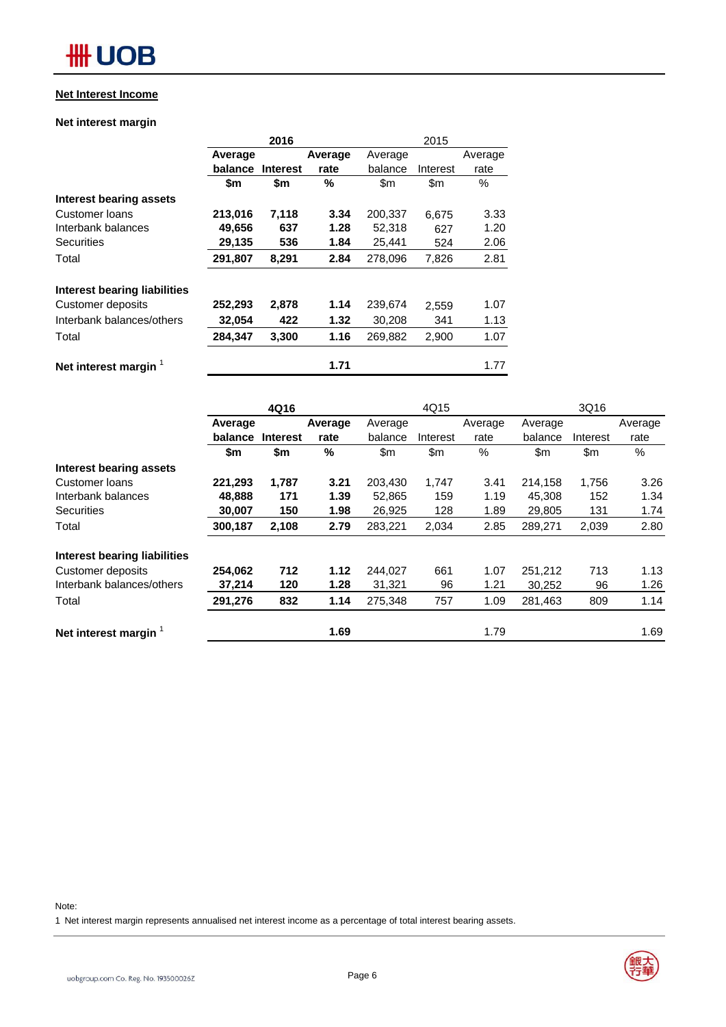#### **Net Interest Income**

#### **Net interest margin**

|                                     |         | 2016            |         | 2015          |               |         |  |
|-------------------------------------|---------|-----------------|---------|---------------|---------------|---------|--|
|                                     | Average |                 | Average | Average       |               | Average |  |
|                                     | balance | <b>Interest</b> | rate    | balance       | Interest      | rate    |  |
|                                     | \$m     | \$m             | %       | $\mathsf{Sm}$ | $\mathsf{Sm}$ | $\%$    |  |
| Interest bearing assets             |         |                 |         |               |               |         |  |
| Customer loans                      | 213,016 | 7,118           | 3.34    | 200,337       | 6,675         | 3.33    |  |
| Interbank balances                  | 49,656  | 637             | 1.28    | 52,318        | 627           | 1.20    |  |
| <b>Securities</b>                   | 29,135  | 536             | 1.84    | 25,441        | 524           | 2.06    |  |
| Total                               | 291,807 | 8,291           | 2.84    | 278,096       | 7,826         | 2.81    |  |
| <b>Interest bearing liabilities</b> |         |                 |         |               |               |         |  |
| Customer deposits                   | 252,293 | 2,878           | 1.14    | 239,674       | 2,559         | 1.07    |  |
| Interbank balances/others           | 32,054  | 422             | 1.32    | 30,208        | 341           | 1.13    |  |
| Total                               | 284,347 | 3,300           | 1.16    | 269,882       | 2,900         | 1.07    |  |
| Net interest margin                 |         |                 | 1.71    |               |               | 1.77    |  |

|                                | 4Q16    |                 |         |         | 4Q15     |         |         | 3Q16     |         |  |
|--------------------------------|---------|-----------------|---------|---------|----------|---------|---------|----------|---------|--|
|                                | Average |                 | Average | Average |          | Average | Average |          | Average |  |
|                                | balance | <b>Interest</b> | rate    | balance | Interest | rate    | balance | Interest | rate    |  |
|                                | \$m     | \$m             | $\%$    | \$m     | \$m      | $\%$    | \$m     | \$m      | %       |  |
| <b>Interest bearing assets</b> |         |                 |         |         |          |         |         |          |         |  |
| Customer loans                 | 221,293 | 1,787           | 3.21    | 203,430 | 1,747    | 3.41    | 214,158 | 1,756    | 3.26    |  |
| Interbank balances             | 48,888  | 171             | 1.39    | 52,865  | 159      | 1.19    | 45,308  | 152      | 1.34    |  |
| <b>Securities</b>              | 30,007  | 150             | 1.98    | 26,925  | 128      | 1.89    | 29,805  | 131      | 1.74    |  |
| Total                          | 300,187 | 2,108           | 2.79    | 283,221 | 2,034    | 2.85    | 289,271 | 2,039    | 2.80    |  |
| Interest bearing liabilities   |         |                 |         |         |          |         |         |          |         |  |
| Customer deposits              | 254,062 | 712             | 1.12    | 244,027 | 661      | 1.07    | 251,212 | 713      | 1.13    |  |
| Interbank balances/others      | 37,214  | 120             | 1.28    | 31,321  | 96       | 1.21    | 30,252  | 96       | 1.26    |  |
| Total                          | 291,276 | 832             | 1.14    | 275,348 | 757      | 1.09    | 281,463 | 809      | 1.14    |  |
| Net interest margin 1          |         |                 | 1.69    |         |          | 1.79    |         |          | 1.69    |  |
|                                |         |                 |         |         |          |         |         |          |         |  |

Note:

1 Net interest margin represents annualised net interest income as a percentage of total interest bearing assets.



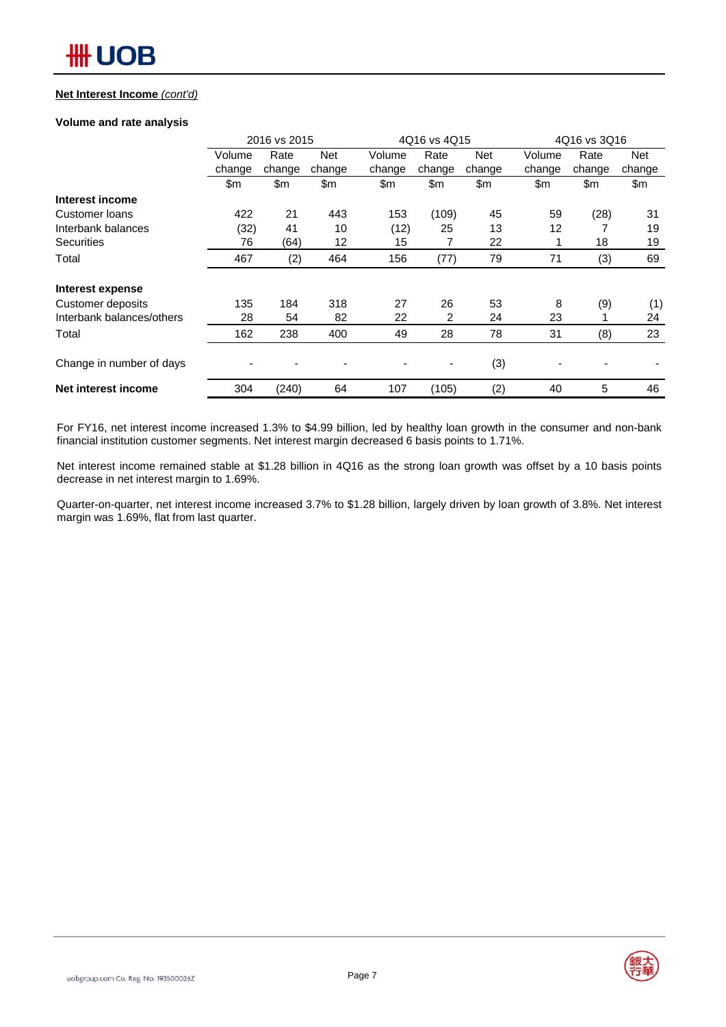#### **Net Interest Income** *(cont'd)*

#### **Volume and rate analysis**

|                           |        | 2016 vs 2015 |            |        | 4Q16 vs 4Q15 |            | 4Q16 vs 3Q16 |        |        |
|---------------------------|--------|--------------|------------|--------|--------------|------------|--------------|--------|--------|
|                           | Volume | Rate         | <b>Net</b> | Volume | Rate         | <b>Net</b> | Volume       | Rate   | Net    |
|                           | change | change       | change     | change | change       | change     | change       | change | change |
|                           | \$m\$  | \$m          | \$m        | \$m    | \$m          | \$m\$      | \$m          | \$m    | \$m    |
| Interest income           |        |              |            |        |              |            |              |        |        |
| Customer loans            | 422    | 21           | 443        | 153    | (109)        | 45         | 59           | (28)   | 31     |
| Interbank balances        | (32)   | 41           | 10         | (12)   | 25           | 13         | 12           |        | 19     |
| <b>Securities</b>         | 76     | (64)         | 12         | 15     | 7            | 22         |              | 18     | 19     |
| Total                     | 467    | (2)          | 464        | 156    | (77)         | 79         | 71           | (3)    | 69     |
| Interest expense          |        |              |            |        |              |            |              |        |        |
| Customer deposits         | 135    | 184          | 318        | 27     | 26           | 53         | 8            | (9)    | (1)    |
| Interbank balances/others | 28     | 54           | 82         | 22     | 2            | 24         | 23           |        | 24     |
| Total                     | 162    | 238          | 400        | 49     | 28           | 78         | 31           | (8)    | 23     |
| Change in number of days  |        |              |            |        | ٠            | (3)        |              |        |        |
| Net interest income       | 304    | (240)        | 64         | 107    | (105)        | (2)        | 40           | 5      | 46     |

For FY16, net interest income increased 1.3% to \$4.99 billion, led by healthy loan growth in the consumer and non-bank financial institution customer segments. Net interest margin decreased 6 basis points to 1.71%.

Net interest income remained stable at \$1.28 billion in 4Q16 as the strong loan growth was offset by a 10 basis points decrease in net interest margin to 1.69%.

Quarter-on-quarter, net interest income increased 3.7% to \$1.28 billion, largely driven by loan growth of 3.8%. Net interest margin was 1.69%, flat from last quarter.

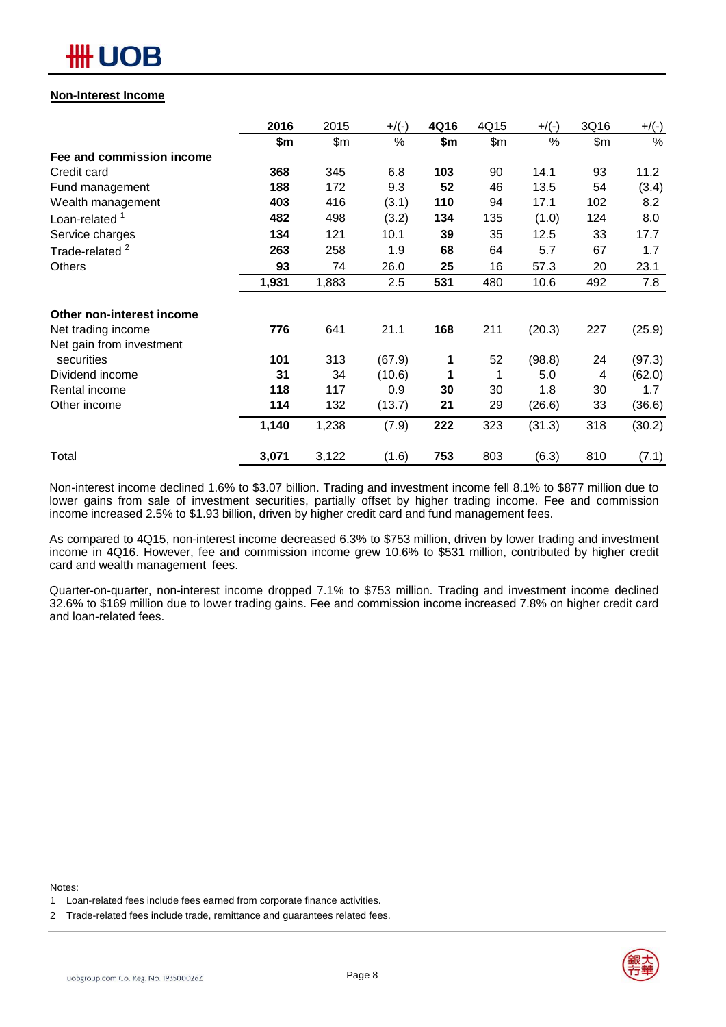# OB

#### **Non-Interest Income**

|                            | 2016  | 2015  | $+$ /(-) | 4Q16 | 4Q15  | $+$ /(-) | 3Q16  | $+/(-)$ |
|----------------------------|-------|-------|----------|------|-------|----------|-------|---------|
|                            | \$m   | \$m   | %        | \$m  | \$m\$ | %        | \$m\$ | %       |
| Fee and commission income  |       |       |          |      |       |          |       |         |
| Credit card                | 368   | 345   | 6.8      | 103  | 90    | 14.1     | 93    | 11.2    |
| Fund management            | 188   | 172   | 9.3      | 52   | 46    | 13.5     | 54    | (3.4)   |
| Wealth management          | 403   | 416   | (3.1)    | 110  | 94    | 17.1     | 102   | 8.2     |
| Loan-related <sup>1</sup>  | 482   | 498   | (3.2)    | 134  | 135   | (1.0)    | 124   | 8.0     |
| Service charges            | 134   | 121   | 10.1     | 39   | 35    | 12.5     | 33    | 17.7    |
| Trade-related <sup>2</sup> | 263   | 258   | 1.9      | 68   | 64    | 5.7      | 67    | 1.7     |
| <b>Others</b>              | 93    | 74    | 26.0     | 25   | 16    | 57.3     | 20    | 23.1    |
|                            | 1,931 | 1,883 | 2.5      | 531  | 480   | 10.6     | 492   | 7.8     |
| Other non-interest income  |       |       |          |      |       |          |       |         |
| Net trading income         | 776   | 641   | 21.1     | 168  | 211   | (20.3)   | 227   | (25.9)  |
| Net gain from investment   |       |       |          |      |       |          |       |         |
| securities                 | 101   | 313   | (67.9)   | 1    | 52    | (98.8)   | 24    | (97.3)  |
| Dividend income            | 31    | 34    | (10.6)   | 1    | 1     | 5.0      | 4     | (62.0)  |
| Rental income              | 118   | 117   | 0.9      | 30   | 30    | 1.8      | 30    | 1.7     |
| Other income               | 114   | 132   | (13.7)   | 21   | 29    | (26.6)   | 33    | (36.6)  |
|                            | 1,140 | 1,238 | (7.9)    | 222  | 323   | (31.3)   | 318   | (30.2)  |
| Total                      | 3,071 | 3,122 | (1.6)    | 753  | 803   | (6.3)    | 810   | (7.1)   |

Non-interest income declined 1.6% to \$3.07 billion. Trading and investment income fell 8.1% to \$877 million due to lower gains from sale of investment securities, partially offset by higher trading income. Fee and commission income increased 2.5% to \$1.93 billion, driven by higher credit card and fund management fees.

As compared to 4Q15, non-interest income decreased 6.3% to \$753 million, driven by lower trading and investment income in 4Q16. However, fee and commission income grew 10.6% to \$531 million, contributed by higher credit card and wealth management fees.

Quarter-on-quarter, non-interest income dropped 7.1% to \$753 million. Trading and investment income declined 32.6% to \$169 million due to lower trading gains. Fee and commission income increased 7.8% on higher credit card and loan-related fees.

Notes:

2 Trade-related fees include trade, remittance and guarantees related fees.



<sup>1</sup> Loan-related fees include fees earned from corporate finance activities.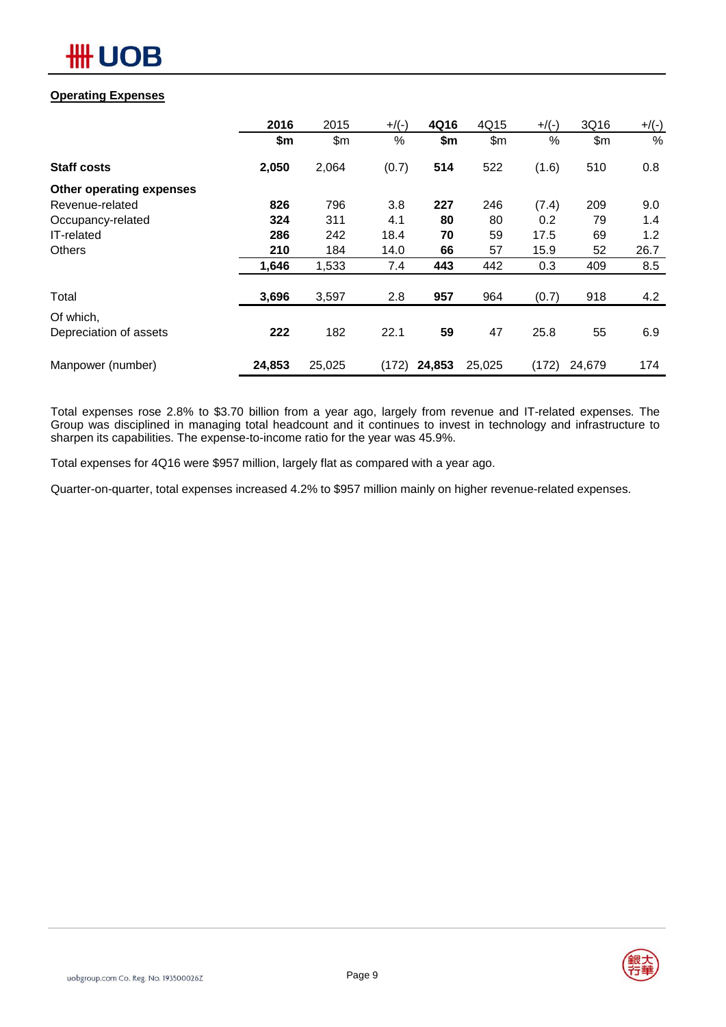

#### **Operating Expenses**

|                          | 2016   | 2015   | $+$ /(-) | 4Q16   | 4Q15   | $+$ /(-) | 3Q16   | $+/(-)$       |
|--------------------------|--------|--------|----------|--------|--------|----------|--------|---------------|
|                          | \$m    | \$m\$  | %        | \$m    | \$m\$  | %        | \$m    | $\frac{0}{0}$ |
| <b>Staff costs</b>       | 2,050  | 2,064  | (0.7)    | 514    | 522    | (1.6)    | 510    | 0.8           |
| Other operating expenses |        |        |          |        |        |          |        |               |
| Revenue-related          | 826    | 796    | 3.8      | 227    | 246    | (7.4)    | 209    | 9.0           |
| Occupancy-related        | 324    | 311    | 4.1      | 80     | 80     | 0.2      | 79     | 1.4           |
| IT-related               | 286    | 242    | 18.4     | 70     | 59     | 17.5     | 69     | 1.2           |
| Others                   | 210    | 184    | 14.0     | 66     | 57     | 15.9     | 52     | 26.7          |
|                          | 1,646  | 1,533  | 7.4      | 443    | 442    | 0.3      | 409    | 8.5           |
| Total                    | 3,696  | 3,597  | 2.8      | 957    | 964    | (0.7)    | 918    | 4.2           |
| Of which,                |        |        |          |        |        |          |        |               |
| Depreciation of assets   | 222    | 182    | 22.1     | 59     | 47     | 25.8     | 55     | 6.9           |
| Manpower (number)        | 24,853 | 25,025 | (172)    | 24,853 | 25,025 | (172)    | 24,679 | 174           |

Total expenses rose 2.8% to \$3.70 billion from a year ago, largely from revenue and IT-related expenses. The Group was disciplined in managing total headcount and it continues to invest in technology and infrastructure to sharpen its capabilities. The expense-to-income ratio for the year was 45.9%.

Total expenses for 4Q16 were \$957 million, largely flat as compared with a year ago.

Quarter-on-quarter, total expenses increased 4.2% to \$957 million mainly on higher revenue-related expenses.

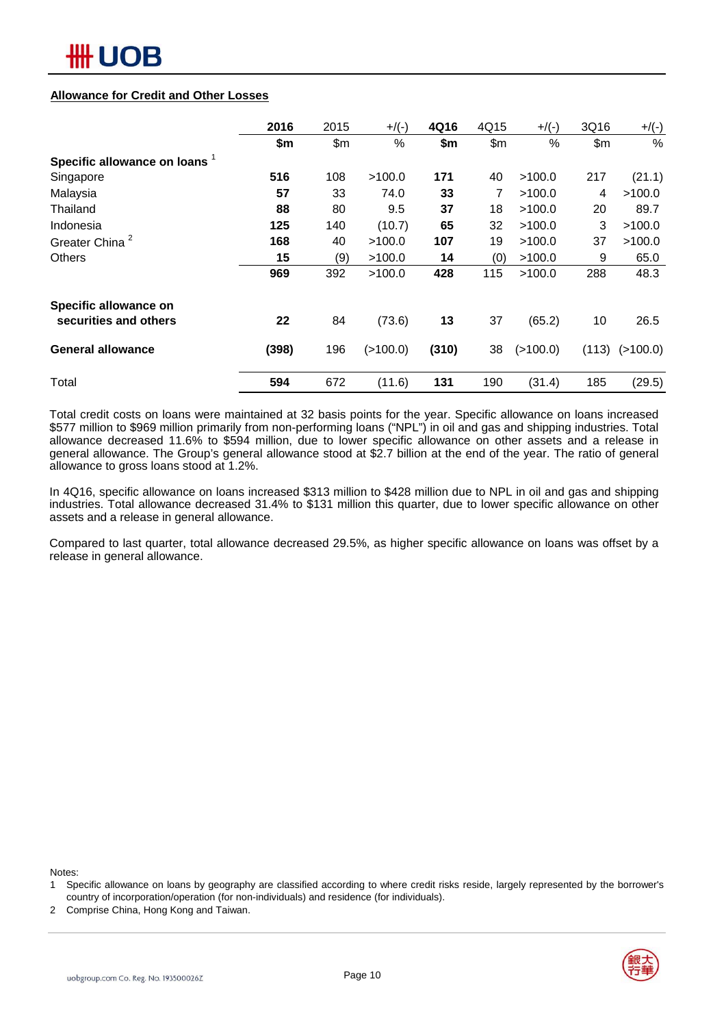# ## UOB

#### **Allowance for Credit and Other Losses**

|                                          | 2016  | 2015  | $+$ /(-) | 4Q16  | 4Q15 | $+$ /(-)   | 3Q16  | $+$ /(-)   |
|------------------------------------------|-------|-------|----------|-------|------|------------|-------|------------|
|                                          | \$m   | \$m\$ | %        | \$m   | \$m  | %          | \$m\$ | $\%$       |
| Specific allowance on loans <sup>1</sup> |       |       |          |       |      |            |       |            |
| Singapore                                | 516   | 108   | >100.0   | 171   | 40   | >100.0     | 217   | (21.1)     |
| Malaysia                                 | 57    | 33    | 74.0     | 33    | 7    | >100.0     | 4     | >100.0     |
| Thailand                                 | 88    | 80    | 9.5      | 37    | 18   | >100.0     | 20    | 89.7       |
| Indonesia                                | 125   | 140   | (10.7)   | 65    | 32   | >100.0     | 3     | >100.0     |
| Greater China <sup>2</sup>               | 168   | 40    | >100.0   | 107   | 19   | >100.0     | 37    | >100.0     |
| <b>Others</b>                            | 15    | (9)   | >100.0   | 14    | (0)  | >100.0     | 9     | 65.0       |
|                                          | 969   | 392   | >100.0   | 428   | 115  | >100.0     | 288   | 48.3       |
| Specific allowance on                    |       |       |          |       |      |            |       |            |
| securities and others                    | 22    | 84    | (73.6)   | 13    | 37   | (65.2)     | 10    | 26.5       |
| <b>General allowance</b>                 | (398) | 196   | (>100.0) | (310) | 38   | ( > 100.0) | (113) | ( > 100.0) |
| Total                                    | 594   | 672   | (11.6)   | 131   | 190  | (31.4)     | 185   | (29.5)     |

Total credit costs on loans were maintained at 32 basis points for the year. Specific allowance on loans increased \$577 million to \$969 million primarily from non-performing loans ("NPL") in oil and gas and shipping industries. Total allowance decreased 11.6% to \$594 million, due to lower specific allowance on other assets and a release in general allowance. The Group's general allowance stood at \$2.7 billion at the end of the year. The ratio of general allowance to gross loans stood at 1.2%.

In 4Q16, specific allowance on loans increased \$313 million to \$428 million due to NPL in oil and gas and shipping industries. Total allowance decreased 31.4% to \$131 million this quarter, due to lower specific allowance on other assets and a release in general allowance.

Compared to last quarter, total allowance decreased 29.5%, as higher specific allowance on loans was offset by a release in general allowance.

Notes:

- 1 Specific allowance on loans by geography are classified according to where credit risks reside, largely represented by the borrower's country of incorporation/operation (for non-individuals) and residence (for individuals).
- 2 Comprise China, Hong Kong and Taiwan.

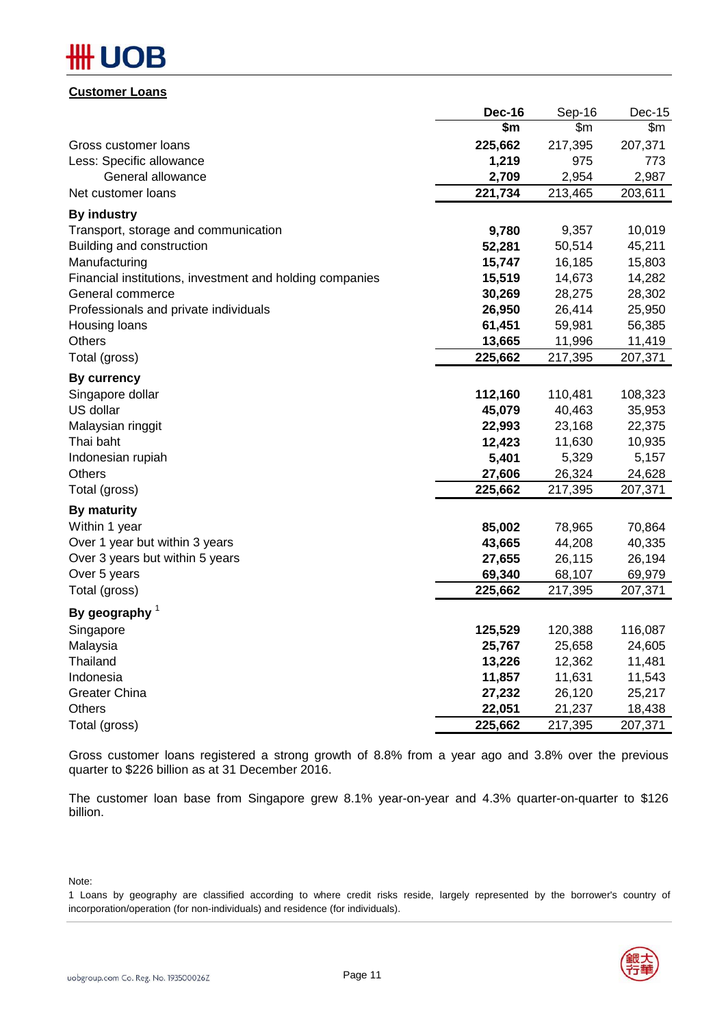# **OB**

#### **Customer Loans**

|                                                          | <b>Dec-16</b> | Sep-16  | Dec-15  |
|----------------------------------------------------------|---------------|---------|---------|
|                                                          | \$m           | \$m\$   | \$m     |
| Gross customer loans                                     | 225,662       | 217,395 | 207,371 |
| Less: Specific allowance                                 | 1,219         | 975     | 773     |
| General allowance                                        | 2,709         | 2,954   | 2,987   |
| Net customer loans                                       | 221,734       | 213,465 | 203,611 |
| <b>By industry</b>                                       |               |         |         |
| Transport, storage and communication                     | 9,780         | 9,357   | 10,019  |
| Building and construction                                | 52,281        | 50,514  | 45,211  |
| Manufacturing                                            | 15,747        | 16,185  | 15,803  |
| Financial institutions, investment and holding companies | 15,519        | 14,673  | 14,282  |
| General commerce                                         | 30,269        | 28,275  | 28,302  |
| Professionals and private individuals                    | 26,950        | 26,414  | 25,950  |
| Housing loans                                            | 61,451        | 59,981  | 56,385  |
| <b>Others</b>                                            | 13,665        | 11,996  | 11,419  |
| Total (gross)                                            | 225,662       | 217,395 | 207,371 |
| <b>By currency</b>                                       |               |         |         |
| Singapore dollar                                         | 112,160       | 110,481 | 108,323 |
| US dollar                                                | 45,079        | 40,463  | 35,953  |
| Malaysian ringgit                                        | 22,993        | 23,168  | 22,375  |
| Thai baht                                                | 12,423        | 11,630  | 10,935  |
| Indonesian rupiah                                        | 5,401         | 5,329   | 5,157   |
| <b>Others</b>                                            | 27,606        | 26,324  | 24,628  |
| Total (gross)                                            | 225,662       | 217,395 | 207,371 |
| <b>By maturity</b>                                       |               |         |         |
| Within 1 year                                            | 85,002        | 78,965  | 70,864  |
| Over 1 year but within 3 years                           | 43,665        | 44,208  | 40,335  |
| Over 3 years but within 5 years                          | 27,655        | 26,115  | 26,194  |
| Over 5 years                                             | 69,340        | 68,107  | 69,979  |
| Total (gross)                                            | 225,662       | 217,395 | 207,371 |
| By geography $1$                                         |               |         |         |
| Singapore                                                | 125,529       | 120,388 | 116,087 |
| Malaysia                                                 | 25,767        | 25,658  | 24,605  |
| Thailand                                                 | 13,226        | 12,362  | 11,481  |
| Indonesia                                                | 11,857        | 11,631  | 11,543  |
| <b>Greater China</b>                                     | 27,232        | 26,120  | 25,217  |
| <b>Others</b>                                            | 22,051        | 21,237  | 18,438  |
| Total (gross)                                            | 225,662       | 217,395 | 207,371 |

Gross customer loans registered a strong growth of 8.8% from a year ago and 3.8% over the previous quarter to \$226 billion as at 31 December 2016.

The customer loan base from Singapore grew 8.1% year-on-year and 4.3% quarter-on-quarter to \$126 billion.

Note:

1 Loans by geography are classified according to where credit risks reside, largely represented by the borrower's country of incorporation/operation (for non-individuals) and residence (for individuals).

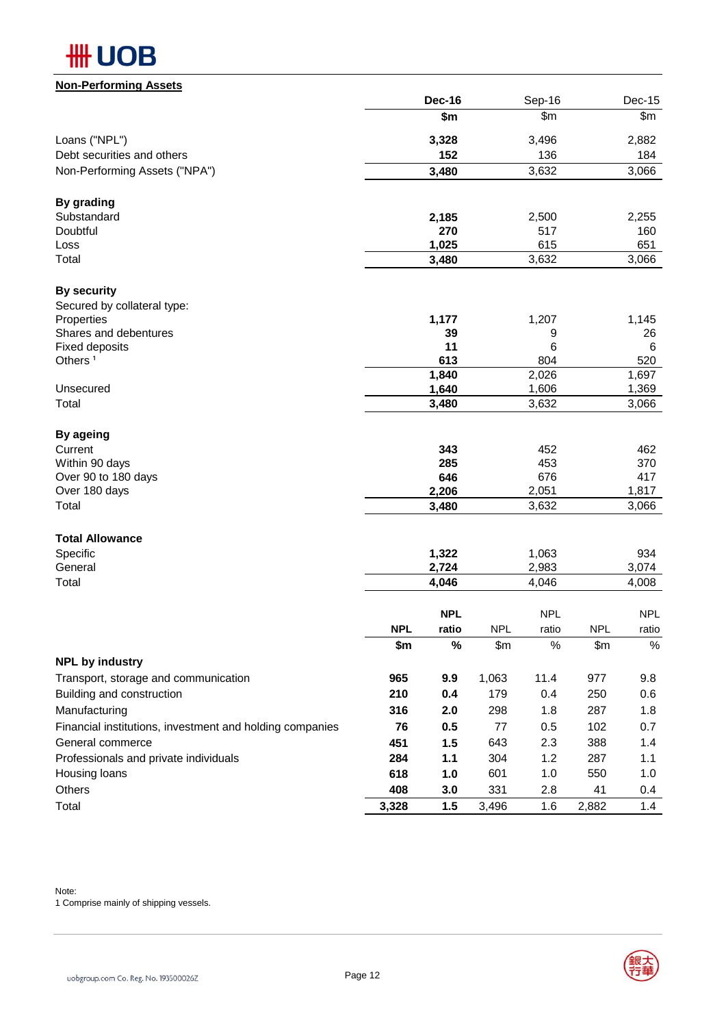

| <b>Non-Performing Assets</b>                             |            |               |            |            |            |            |
|----------------------------------------------------------|------------|---------------|------------|------------|------------|------------|
|                                                          |            | <b>Dec-16</b> |            | Sep-16     |            | Dec-15     |
|                                                          |            | \$m           |            | \$m        |            | \$m        |
| Loans ("NPL")                                            |            | 3,328         |            | 3,496      |            | 2,882      |
| Debt securities and others                               |            | 152           |            | 136        |            | 184        |
| Non-Performing Assets ("NPA")                            |            | 3,480         |            | 3,632      |            | 3,066      |
| By grading                                               |            |               |            |            |            |            |
| Substandard                                              |            | 2,185         |            | 2,500      |            | 2,255      |
| Doubtful                                                 |            | 270           |            | 517        |            | 160        |
| Loss                                                     |            | 1,025         |            | 615        |            | 651        |
| Total                                                    |            | 3,480         |            | 3,632      |            | 3,066      |
| <b>By security</b>                                       |            |               |            |            |            |            |
| Secured by collateral type:                              |            |               |            |            |            |            |
| Properties                                               |            | 1,177         |            | 1,207      |            | 1,145      |
| Shares and debentures                                    |            | 39            |            | 9          |            | 26         |
| <b>Fixed deposits</b><br>Others <sup>1</sup>             |            | 11<br>613     |            | 6<br>804   |            | 6<br>520   |
|                                                          |            | 1,840         |            | 2,026      |            | 1,697      |
| Unsecured                                                |            | 1,640         |            | 1,606      |            | 1,369      |
| Total                                                    |            | 3,480         |            | 3,632      |            | 3,066      |
| <b>By ageing</b>                                         |            |               |            |            |            |            |
| Current                                                  |            | 343           |            | 452        |            | 462        |
| Within 90 days                                           |            | 285           |            | 453        |            | 370        |
| Over 90 to 180 days                                      |            | 646           |            | 676        |            | 417        |
| Over 180 days                                            |            | 2,206         |            | 2,051      |            | 1,817      |
| Total                                                    |            | 3,480         |            | 3,632      |            | 3,066      |
| <b>Total Allowance</b>                                   |            |               |            |            |            |            |
| Specific                                                 |            | 1,322         |            | 1,063      |            | 934        |
| General                                                  |            | 2,724         |            | 2,983      |            | 3,074      |
| Total                                                    |            | 4,046         |            | 4,046      |            | 4,008      |
|                                                          |            | <b>NPL</b>    |            | <b>NPL</b> |            | <b>NPL</b> |
|                                                          | <b>NPL</b> | ratio         | <b>NPL</b> | ratio      | <b>NPL</b> | ratio      |
| <b>NPL by industry</b>                                   | \$m        | $\%$          | \$m        | $\%$       | \$m\$      | $\%$       |
| Transport, storage and communication                     | 965        | 9.9           | 1,063      | 11.4       | 977        | 9.8        |
| Building and construction                                | 210        | 0.4           | 179        | 0.4        | 250        | 0.6        |
| Manufacturing                                            | 316        | 2.0           | 298        | 1.8        | 287        | 1.8        |
|                                                          |            |               |            |            |            |            |
| Financial institutions, investment and holding companies | 76         | 0.5           | $77\,$     | 0.5        | 102        | 0.7        |
| General commerce                                         | 451        | 1.5           | 643        | 2.3        | 388        | 1.4        |
| Professionals and private individuals                    | 284        | 1.1           | 304        | 1.2        | 287        | 1.1        |
| Housing loans                                            | 618        | 1.0           | 601        | 1.0        | 550        | 1.0        |
| Others                                                   | 408        | 3.0           | 331        | 2.8        | 41         | 0.4        |

Note:

1 Comprise mainly of shipping vessels.



Total **3,328 1.5** 3,496 1.6 2,882 1.4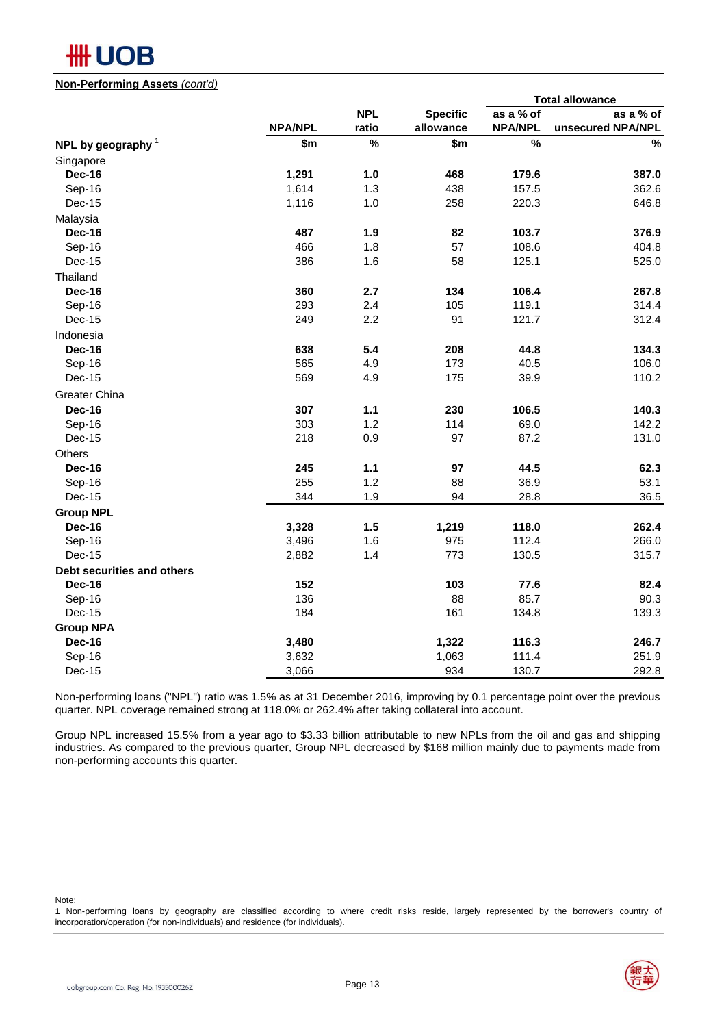# **#H UOB**

#### **Non-Performing Assets** *(cont'd)*

|                            |                |                     |                              | <b>Total allowance</b>        |                                |  |  |
|----------------------------|----------------|---------------------|------------------------------|-------------------------------|--------------------------------|--|--|
|                            | <b>NPA/NPL</b> | <b>NPL</b><br>ratio | <b>Specific</b><br>allowance | as a $%$ of<br><b>NPA/NPL</b> | as a % of<br>unsecured NPA/NPL |  |  |
| NPL by geography $1$       | \$m            | $\%$                | \$m                          | $\frac{9}{6}$                 | $\%$                           |  |  |
| Singapore                  |                |                     |                              |                               |                                |  |  |
| Dec-16                     | 1,291          | 1.0                 | 468                          | 179.6                         | 387.0                          |  |  |
| Sep-16                     | 1,614          | 1.3                 | 438                          | 157.5                         | 362.6                          |  |  |
| Dec-15                     | 1,116          | 1.0                 | 258                          | 220.3                         | 646.8                          |  |  |
| Malaysia                   |                |                     |                              |                               |                                |  |  |
| <b>Dec-16</b>              | 487            | 1.9                 | 82                           | 103.7                         | 376.9                          |  |  |
| Sep-16                     | 466            | 1.8                 | 57                           | 108.6                         | 404.8                          |  |  |
| Dec-15                     | 386            | 1.6                 | 58                           | 125.1                         | 525.0                          |  |  |
| Thailand                   |                |                     |                              |                               |                                |  |  |
| <b>Dec-16</b>              | 360            | 2.7                 | 134                          | 106.4                         | 267.8                          |  |  |
| Sep-16                     | 293            | 2.4                 | 105                          | 119.1                         | 314.4                          |  |  |
| Dec-15                     | 249            | 2.2                 | 91                           | 121.7                         | 312.4                          |  |  |
| Indonesia                  |                |                     |                              |                               |                                |  |  |
| Dec-16                     | 638            | 5.4                 | 208                          | 44.8                          | 134.3                          |  |  |
| Sep-16                     | 565            | 4.9                 | 173                          | 40.5                          | 106.0                          |  |  |
| Dec-15                     | 569            | 4.9                 | 175                          | 39.9                          | 110.2                          |  |  |
| Greater China              |                |                     |                              |                               |                                |  |  |
| <b>Dec-16</b>              | 307            | 1.1                 | 230                          | 106.5                         | 140.3                          |  |  |
| Sep-16                     | 303            | 1.2                 | 114                          | 69.0                          | 142.2                          |  |  |
| Dec-15                     | 218            | 0.9                 | 97                           | 87.2                          | 131.0                          |  |  |
| Others                     |                |                     |                              |                               |                                |  |  |
| <b>Dec-16</b>              | 245            | 1.1                 | 97                           | 44.5                          | 62.3                           |  |  |
| Sep-16                     | 255            | 1.2                 | 88                           | 36.9                          | 53.1                           |  |  |
| Dec-15                     | 344            | 1.9                 | 94                           | 28.8                          | 36.5                           |  |  |
| <b>Group NPL</b>           |                |                     |                              |                               |                                |  |  |
| Dec-16                     | 3,328          | 1.5                 | 1,219                        | 118.0                         | 262.4                          |  |  |
| Sep-16                     | 3,496          | 1.6                 | 975                          | 112.4                         | 266.0                          |  |  |
| Dec-15                     | 2,882          | 1.4                 | 773                          | 130.5                         | 315.7                          |  |  |
| Debt securities and others |                |                     |                              |                               |                                |  |  |
| <b>Dec-16</b>              | 152            |                     | 103                          | 77.6                          | 82.4                           |  |  |
| Sep-16                     | 136            |                     | 88                           | 85.7                          | 90.3                           |  |  |
| Dec-15                     | 184            |                     | 161                          | 134.8                         | 139.3                          |  |  |
| <b>Group NPA</b>           |                |                     |                              |                               |                                |  |  |
| Dec-16                     | 3,480          |                     | 1,322                        | 116.3                         | 246.7                          |  |  |
| Sep-16                     | 3,632          |                     | 1,063                        | 111.4                         | 251.9                          |  |  |
| Dec-15                     | 3,066          |                     | 934                          | 130.7                         | 292.8                          |  |  |

Non-performing loans ("NPL") ratio was 1.5% as at 31 December 2016, improving by 0.1 percentage point over the previous quarter. NPL coverage remained strong at 118.0% or 262.4% after taking collateral into account.

Group NPL increased 15.5% from a year ago to \$3.33 billion attributable to new NPLs from the oil and gas and shipping industries. As compared to the previous quarter, Group NPL decreased by \$168 million mainly due to payments made from non-performing accounts this quarter.

Note:

1 Non-performing loans by geography are classified according to where credit risks reside, largely represented by the borrower's country of incorporation/operation (for non-individuals) and residence (for individuals).

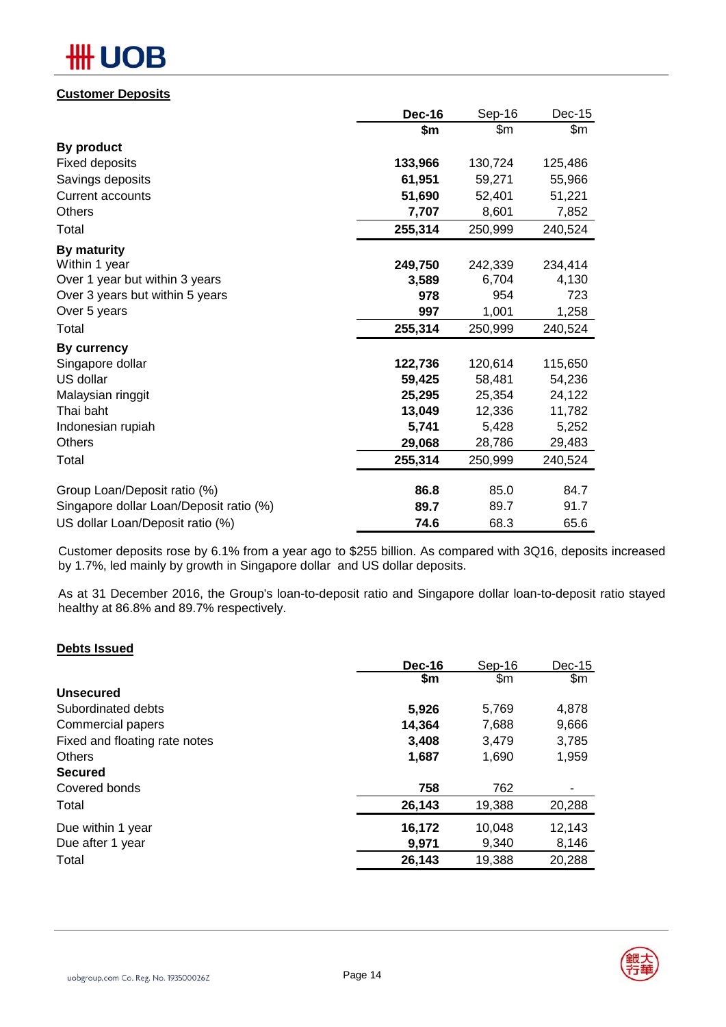# OB

### **Customer Deposits**

|                                         | <b>Dec-16</b> | Sep-16  | Dec-15  |
|-----------------------------------------|---------------|---------|---------|
|                                         | \$m           | \$m     | \$m     |
| By product                              |               |         |         |
| <b>Fixed deposits</b>                   | 133,966       | 130,724 | 125,486 |
| Savings deposits                        | 61,951        | 59,271  | 55,966  |
| <b>Current accounts</b>                 | 51,690        | 52,401  | 51,221  |
| <b>Others</b>                           | 7,707         | 8,601   | 7,852   |
| Total                                   | 255,314       | 250,999 | 240,524 |
| By maturity                             |               |         |         |
| Within 1 year                           | 249,750       | 242,339 | 234,414 |
| Over 1 year but within 3 years          | 3,589         | 6,704   | 4,130   |
| Over 3 years but within 5 years         | 978           | 954     | 723     |
| Over 5 years                            | 997           | 1,001   | 1,258   |
| Total                                   | 255,314       | 250,999 | 240,524 |
| By currency                             |               |         |         |
| Singapore dollar                        | 122,736       | 120,614 | 115,650 |
| US dollar                               | 59,425        | 58,481  | 54,236  |
| Malaysian ringgit                       | 25,295        | 25,354  | 24,122  |
| Thai baht                               | 13,049        | 12,336  | 11,782  |
| Indonesian rupiah                       | 5,741         | 5,428   | 5,252   |
| <b>Others</b>                           | 29,068        | 28,786  | 29,483  |
| Total                                   | 255,314       | 250,999 | 240,524 |
| Group Loan/Deposit ratio (%)            | 86.8          | 85.0    | 84.7    |
| Singapore dollar Loan/Deposit ratio (%) | 89.7          | 89.7    | 91.7    |
| US dollar Loan/Deposit ratio (%)        | 74.6          | 68.3    | 65.6    |

Customer deposits rose by 6.1% from a year ago to \$255 billion. As compared with 3Q16, deposits increased by 1.7%, led mainly by growth in Singapore dollar and US dollar deposits.

As at 31 December 2016, the Group's loan-to-deposit ratio and Singapore dollar loan-to-deposit ratio stayed healthy at 86.8% and 89.7% respectively.

#### **Debts Issued**

| <b>Dec-16</b> | Sep-16 | Dec-15 |
|---------------|--------|--------|
| \$m           | \$m    | \$m    |
|               |        |        |
| 5,926         | 5,769  | 4,878  |
| 14,364        | 7,688  | 9,666  |
| 3,408         | 3,479  | 3,785  |
| 1,687         | 1,690  | 1,959  |
|               |        |        |
| 758           | 762    | ۰      |
| 26,143        | 19,388 | 20,288 |
| 16,172        | 10,048 | 12,143 |
| 9,971         | 9,340  | 8,146  |
| 26,143        | 19,388 | 20,288 |
|               |        |        |

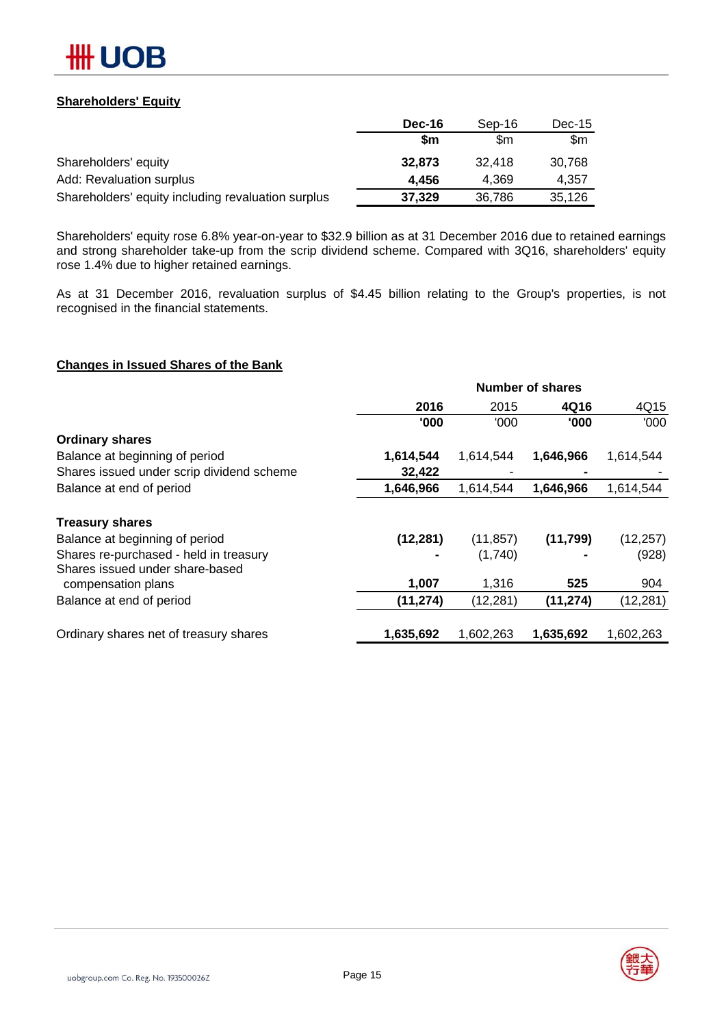

#### **Shareholders' Equity**

|                                                    | Dec-16 | $Sep-16$ | Dec-15 |
|----------------------------------------------------|--------|----------|--------|
|                                                    | \$m    | \$m      | \$m    |
| Shareholders' equity                               | 32,873 | 32.418   | 30.768 |
| Add: Revaluation surplus                           | 4.456  | 4.369    | 4.357  |
| Shareholders' equity including revaluation surplus | 37,329 | 36,786   | 35,126 |

Shareholders' equity rose 6.8% year-on-year to \$32.9 billion as at 31 December 2016 due to retained earnings and strong shareholder take-up from the scrip dividend scheme. Compared with 3Q16, shareholders' equity rose 1.4% due to higher retained earnings.

As at 31 December 2016, revaluation surplus of \$4.45 billion relating to the Group's properties, is not recognised in the financial statements.

#### **Changes in Issued Shares of the Bank**

|                                           | <b>Number of shares</b> |           |           |           |  |  |
|-------------------------------------------|-------------------------|-----------|-----------|-----------|--|--|
|                                           | 2016                    | 2015      | 4Q16      | 4Q15      |  |  |
|                                           | '000                    | '000      | '000      | '000'     |  |  |
| <b>Ordinary shares</b>                    |                         |           |           |           |  |  |
| Balance at beginning of period            | 1,614,544               | 1,614,544 | 1,646,966 | 1,614,544 |  |  |
| Shares issued under scrip dividend scheme | 32,422                  |           |           |           |  |  |
| Balance at end of period                  | 1,646,966               | 1,614,544 | 1,646,966 | 1,614,544 |  |  |
| <b>Treasury shares</b>                    |                         |           |           |           |  |  |
| Balance at beginning of period            | (12, 281)               | (11, 857) | (11,799)  | (12, 257) |  |  |
| Shares re-purchased - held in treasury    |                         | (1,740)   |           | (928)     |  |  |
| Shares issued under share-based           |                         |           |           |           |  |  |
| compensation plans                        | 1,007                   | 1,316     | 525       | 904       |  |  |
| Balance at end of period                  | (11, 274)               | (12, 281) | (11, 274) | (12, 281) |  |  |
| Ordinary shares net of treasury shares    | 1,635,692               | 1,602,263 | 1,635,692 | 1,602,263 |  |  |
|                                           |                         |           |           |           |  |  |

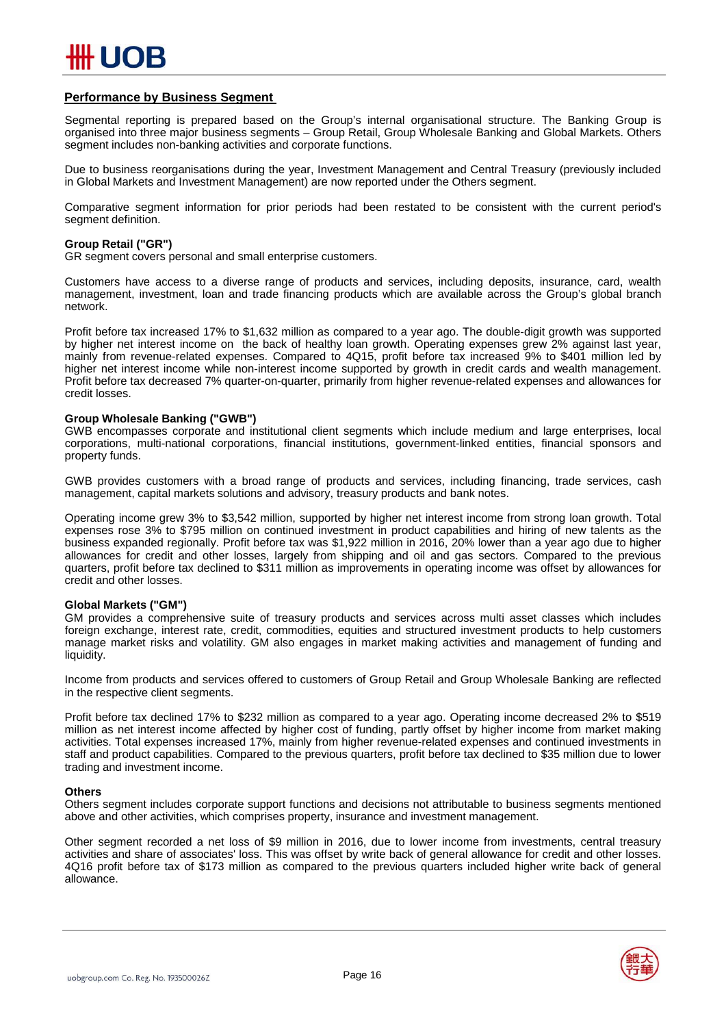

#### **Performance by Business Segment**

Segmental reporting is prepared based on the Group's internal organisational structure. The Banking Group is organised into three major business segments – Group Retail, Group Wholesale Banking and Global Markets. Others segment includes non-banking activities and corporate functions.

Due to business reorganisations during the year, Investment Management and Central Treasury (previously included in Global Markets and Investment Management) are now reported under the Others segment.

Comparative segment information for prior periods had been restated to be consistent with the current period's segment definition.

#### **Group Retail ("GR")**

GR segment covers personal and small enterprise customers.

Customers have access to a diverse range of products and services, including deposits, insurance, card, wealth management, investment, loan and trade financing products which are available across the Group's global branch network.

Profit before tax increased 17% to \$1,632 million as compared to a year ago. The double-digit growth was supported by higher net interest income on the back of healthy loan growth. Operating expenses grew 2% against last year, mainly from revenue-related expenses. Compared to 4Q15, profit before tax increased 9% to \$401 million led by higher net interest income while non-interest income supported by growth in credit cards and wealth management. Profit before tax decreased 7% quarter-on-quarter, primarily from higher revenue-related expenses and allowances for credit losses.

#### **Group Wholesale Banking ("GWB")**

GWB encompasses corporate and institutional client segments which include medium and large enterprises, local corporations, multi-national corporations, financial institutions, government-linked entities, financial sponsors and property funds.

GWB provides customers with a broad range of products and services, including financing, trade services, cash management, capital markets solutions and advisory, treasury products and bank notes.

Operating income grew 3% to \$3,542 million, supported by higher net interest income from strong loan growth. Total expenses rose 3% to \$795 million on continued investment in product capabilities and hiring of new talents as the business expanded regionally. Profit before tax was \$1,922 million in 2016, 20% lower than a year ago due to higher allowances for credit and other losses, largely from shipping and oil and gas sectors. Compared to the previous quarters, profit before tax declined to \$311 million as improvements in operating income was offset by allowances for credit and other losses.

#### **Global Markets ("GM")**

GM provides a comprehensive suite of treasury products and services across multi asset classes which includes foreign exchange, interest rate, credit, commodities, equities and structured investment products to help customers manage market risks and volatility. GM also engages in market making activities and management of funding and liquidity.

Income from products and services offered to customers of Group Retail and Group Wholesale Banking are reflected in the respective client segments.

Profit before tax declined 17% to \$232 million as compared to a year ago. Operating income decreased 2% to \$519 million as net interest income affected by higher cost of funding, partly offset by higher income from market making activities. Total expenses increased 17%, mainly from higher revenue-related expenses and continued investments in staff and product capabilities. Compared to the previous quarters, profit before tax declined to \$35 million due to lower trading and investment income.

#### **Others**

Others segment includes corporate support functions and decisions not attributable to business segments mentioned above and other activities, which comprises property, insurance and investment management.

Other segment recorded a net loss of \$9 million in 2016, due to lower income from investments, central treasury activities and share of associates' loss. This was offset by write back of general allowance for credit and other losses. 4Q16 profit before tax of \$173 million as compared to the previous quarters included higher write back of general allowance.

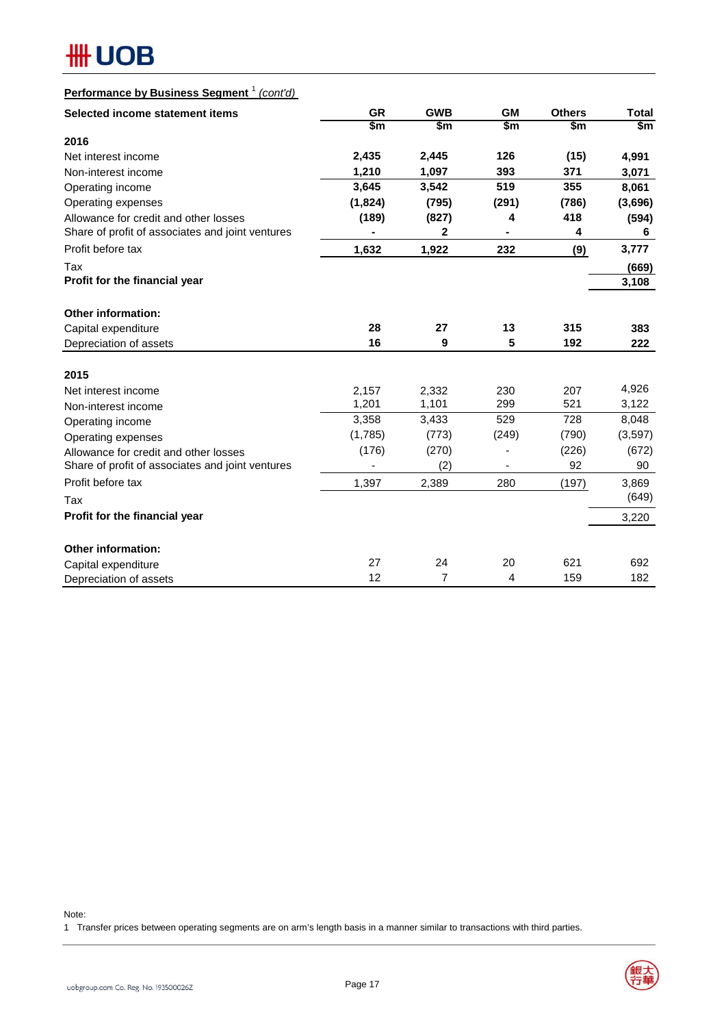# **Performance by Business Segment** <sup>1</sup> *(cont'd)*

| Selected income statement items                  | <b>GR</b> | <b>GWB</b>    | <b>GM</b> | <b>Others</b> | <b>Total</b> |
|--------------------------------------------------|-----------|---------------|-----------|---------------|--------------|
|                                                  | \$m       | $\frac{2}{3}$ | \$m       | \$m           | \$m          |
| 2016                                             |           |               |           |               |              |
| Net interest income                              | 2,435     | 2,445         | 126       | (15)          | 4,991        |
| Non-interest income                              | 1,210     | 1,097         | 393       | 371           | 3,071        |
| Operating income                                 | 3,645     | 3,542         | 519       | 355           | 8,061        |
| Operating expenses                               | (1,824)   | (795)         | (291)     | (786)         | (3,696)      |
| Allowance for credit and other losses            | (189)     | (827)         | 4         | 418           | (594)        |
| Share of profit of associates and joint ventures |           | 2             |           | 4             | 6            |
| Profit before tax                                | 1,632     | 1,922         | 232       | (9)           | 3,777        |
| Tax                                              |           |               |           |               | (669)        |
| Profit for the financial year                    |           |               |           |               | 3,108        |
| <b>Other information:</b>                        |           |               |           |               |              |
| Capital expenditure                              | 28        | 27            | 13        | 315           | 383          |
| Depreciation of assets                           | 16        | 9             | 5         | 192           | 222          |
|                                                  |           |               |           |               |              |
| 2015                                             |           |               |           |               |              |
| Net interest income                              | 2,157     | 2,332         | 230       | 207           | 4,926        |
| Non-interest income                              | 1,201     | 1,101         | 299       | 521           | 3,122        |
| Operating income                                 | 3,358     | 3,433         | 529       | 728           | 8,048        |
| Operating expenses                               | (1,785)   | (773)         | (249)     | (790)         | (3, 597)     |
| Allowance for credit and other losses            | (176)     | (270)         |           | (226)         | (672)        |
| Share of profit of associates and joint ventures |           | (2)           |           | 92            | 90           |
| Profit before tax                                | 1,397     | 2,389         | 280       | (197)         | 3,869        |
| Tax                                              |           |               |           |               | (649)        |
| Profit for the financial year                    |           |               |           |               | 3,220        |
| Other information:                               |           |               |           |               |              |
| Capital expenditure                              | 27        | 24            | 20        | 621           | 692          |
| Depreciation of assets                           | 12        | 7             | 4         | 159           | 182          |

Note:

1 Transfer prices between operating segments are on arm's length basis in a manner similar to transactions with third parties.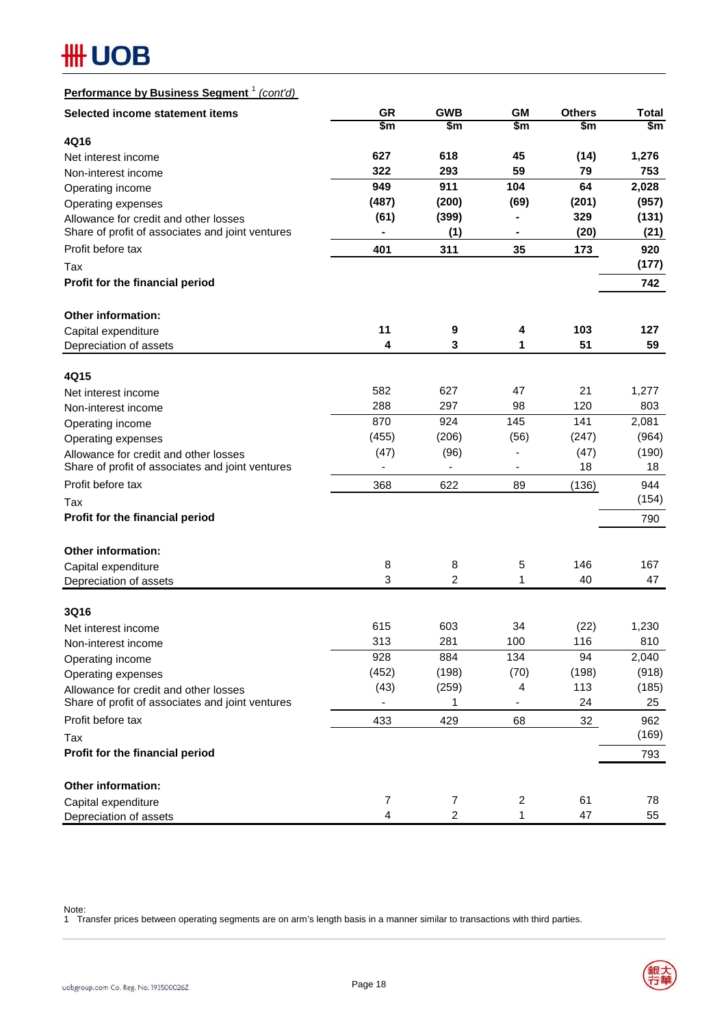# **Performance by Business Segment** <sup>1</sup> *(cont'd)*

| Selected income statement items                                                           | <b>GR</b>     | <b>GWB</b>     | <b>GM</b>                    | <b>Others</b> | <b>Total</b>  |
|-------------------------------------------------------------------------------------------|---------------|----------------|------------------------------|---------------|---------------|
|                                                                                           | \$m           | \$m            | \$m                          | \$m           | \$m\$         |
| 4Q16                                                                                      |               |                |                              |               |               |
| Net interest income                                                                       | 627           | 618            | 45                           | (14)          | 1,276         |
| Non-interest income                                                                       | 322           | 293            | 59                           | 79            | 753           |
| Operating income                                                                          | 949           | 911            | 104                          | 64            | 2,028         |
| Operating expenses                                                                        | (487)<br>(61) | (200)<br>(399) | (69)                         | (201)<br>329  | (957)         |
| Allowance for credit and other losses<br>Share of profit of associates and joint ventures |               | (1)            | $\blacksquare$               | (20)          | (131)<br>(21) |
| Profit before tax                                                                         | 401           | 311            | 35                           | 173           | 920           |
| Tax                                                                                       |               |                |                              |               | (177)         |
| Profit for the financial period                                                           |               |                |                              |               | 742           |
| <b>Other information:</b>                                                                 |               |                |                              |               |               |
| Capital expenditure                                                                       | 11            | 9              | 4                            | 103           | 127           |
| Depreciation of assets                                                                    | 4             | 3              | 1                            | 51            | 59            |
| 4Q15                                                                                      |               |                |                              |               |               |
| Net interest income                                                                       | 582           | 627            | 47                           | 21            | 1,277         |
| Non-interest income                                                                       | 288           | 297            | 98                           | 120           | 803           |
| Operating income                                                                          | 870           | 924            | 145                          | 141           | 2,081         |
| Operating expenses                                                                        | (455)         | (206)          | (56)                         | (247)         | (964)         |
| Allowance for credit and other losses                                                     | (47)          | (96)           |                              | (47)          | (190)         |
| Share of profit of associates and joint ventures                                          |               |                |                              | 18            | 18            |
| Profit before tax                                                                         | 368           | 622            | 89                           | (136)         | 944           |
| Tax                                                                                       |               |                |                              |               | (154)         |
| Profit for the financial period                                                           |               |                |                              |               | 790           |
| <b>Other information:</b>                                                                 |               |                |                              |               |               |
| Capital expenditure                                                                       | 8             | 8              | 5                            | 146           | 167           |
| Depreciation of assets                                                                    | 3             | $\overline{c}$ | 1                            | 40            | 47            |
|                                                                                           |               |                |                              |               |               |
| 3Q16                                                                                      | 615           | 603            | 34                           | (22)          | 1,230         |
| Net interest income                                                                       | 313           | 281            | 100                          | 116           | 810           |
| Non-interest income<br>Operating income                                                   | 928           | 884            | 134                          | 94            | 2,040         |
| Operating expenses                                                                        | (452)         | (198)          | (70)                         | (198)         | (918)         |
| Allowance for credit and other losses                                                     | (43)          | (259)          | 4                            | 113           | (185)         |
| Share of profit of associates and joint ventures                                          |               | 1              | $\qquad \qquad \blacksquare$ | 24            | 25            |
| Profit before tax                                                                         | 433           | 429            | 68                           | 32            | 962           |
| Tax                                                                                       |               |                |                              |               | (169)         |
| Profit for the financial period                                                           |               |                |                              |               | 793           |
| Other information:                                                                        |               |                |                              |               |               |
| Capital expenditure                                                                       | 7             | 7              | $\overline{c}$               | 61            | 78            |
| Depreciation of assets                                                                    | 4             | $\overline{c}$ | 1                            | 47            | 55            |

Note:

1 Transfer prices between operating segments are on arm's length basis in a manner similar to transactions with third parties.

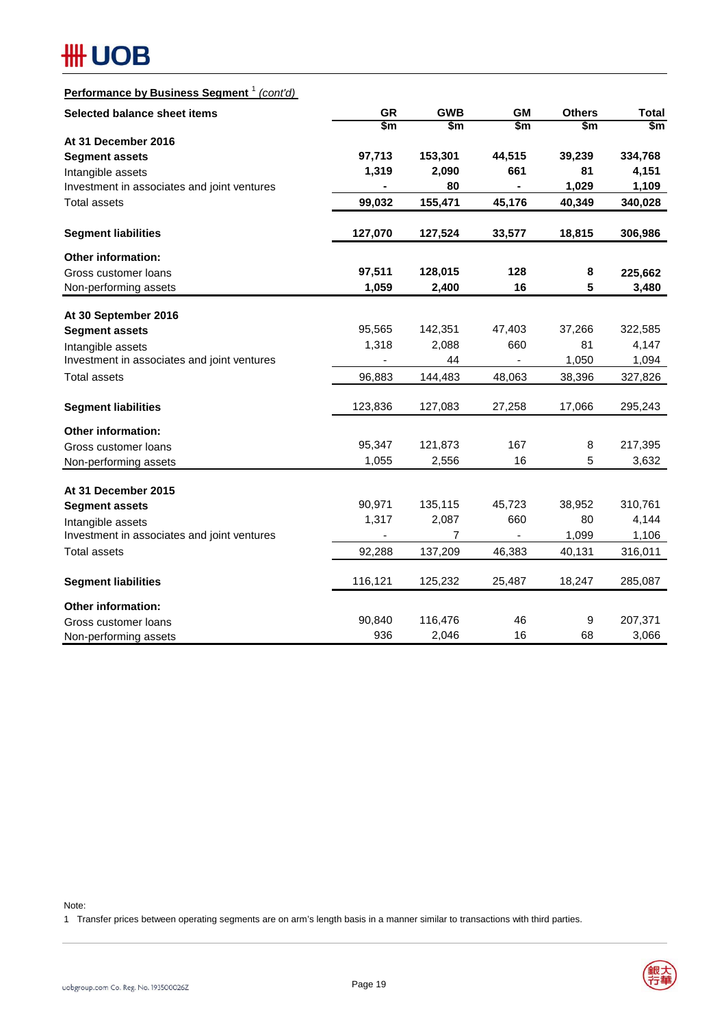# **Performance by Business Segment** <sup>1</sup> *(cont'd)*

| Selected balance sheet items                                     | <b>GR</b> | <b>GWB</b> | <b>GM</b>                | <b>Others</b> | <b>Total</b> |  |
|------------------------------------------------------------------|-----------|------------|--------------------------|---------------|--------------|--|
|                                                                  | \$m       | \$m        | $\mathsf{sm}$            | \$m           | \$m\$        |  |
| At 31 December 2016                                              |           |            |                          |               |              |  |
| <b>Segment assets</b>                                            | 97,713    | 153,301    | 44,515                   | 39,239        | 334,768      |  |
| Intangible assets                                                | 1,319     | 2,090      | 661                      | 81            | 4,151        |  |
| Investment in associates and joint ventures                      |           | 80         |                          | 1,029         | 1,109        |  |
| <b>Total assets</b>                                              | 99,032    | 155,471    | 45,176                   | 40,349        | 340,028      |  |
| <b>Segment liabilities</b>                                       | 127,070   | 127,524    | 33,577                   | 18,815        | 306,986      |  |
| <b>Other information:</b>                                        |           |            |                          |               |              |  |
| Gross customer loans                                             | 97,511    | 128,015    | 128                      | 8             | 225,662      |  |
| Non-performing assets                                            | 1,059     | 2,400      | 16                       | 5             | 3,480        |  |
| At 30 September 2016                                             |           |            |                          |               |              |  |
| <b>Segment assets</b>                                            | 95,565    | 142,351    | 47,403                   | 37,266        | 322,585      |  |
| Intangible assets                                                | 1,318     | 2,088      | 660                      | 81            | 4,147        |  |
| Investment in associates and joint ventures                      |           | 44         | $\overline{\phantom{a}}$ | 1,050         | 1,094        |  |
| <b>Total assets</b>                                              | 96,883    | 144,483    | 48,063                   | 38,396        | 327,826      |  |
| <b>Segment liabilities</b>                                       | 123,836   | 127,083    | 27,258                   | 17,066        | 295,243      |  |
| <b>Other information:</b>                                        |           |            |                          |               |              |  |
| Gross customer loans                                             | 95,347    | 121,873    | 167                      | 8             | 217,395      |  |
| Non-performing assets                                            | 1,055     | 2,556      | 16                       | 5             | 3,632        |  |
| At 31 December 2015                                              |           |            |                          |               |              |  |
| <b>Segment assets</b>                                            | 90,971    | 135,115    | 45,723                   | 38,952        | 310,761      |  |
|                                                                  | 1,317     | 2,087      | 660                      | 80            | 4,144        |  |
| Intangible assets<br>Investment in associates and joint ventures |           | 7          |                          | 1,099         | 1,106        |  |
| <b>Total assets</b>                                              | 92,288    | 137,209    | 46,383                   | 40,131        | 316,011      |  |
|                                                                  |           |            |                          |               |              |  |
| <b>Segment liabilities</b>                                       | 116,121   | 125,232    | 25,487                   | 18,247        | 285,087      |  |
| <b>Other information:</b>                                        |           |            |                          |               |              |  |
| Gross customer loans                                             | 90,840    | 116,476    | 46                       | 9             | 207,371      |  |
| Non-performing assets                                            | 936       | 2,046      | 16                       | 68            | 3,066        |  |

Note:

1 Transfer prices between operating segments are on arm's length basis in a manner similar to transactions with third parties.

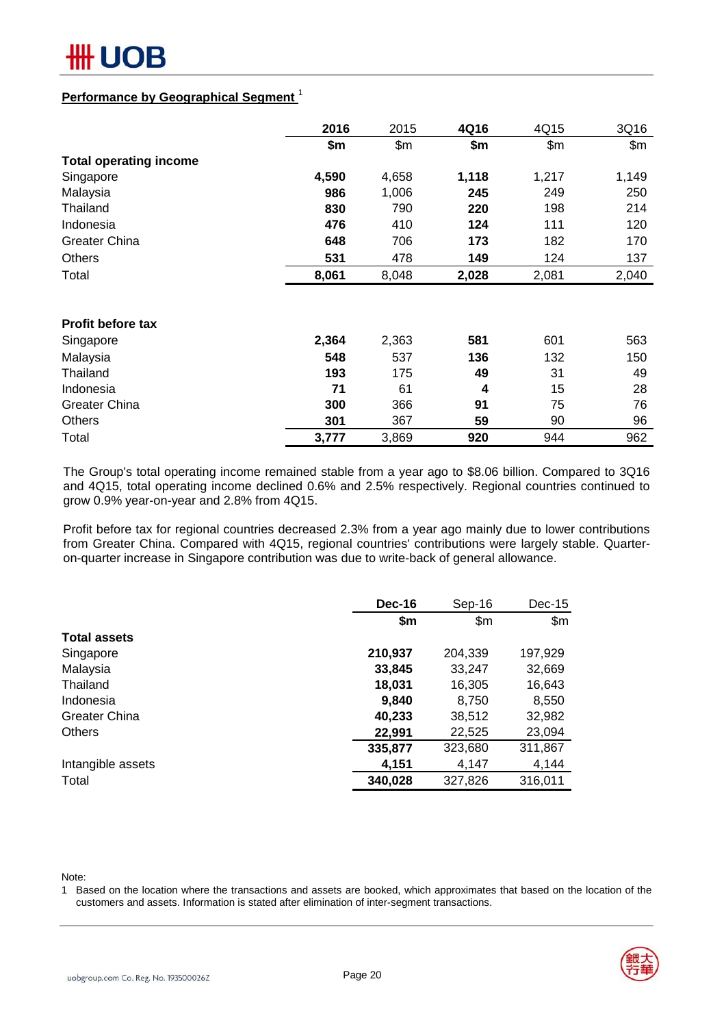

### **Performance by Geographical Segment** <sup>1</sup>

|                               | 2016  | 2015  | 4Q16  | 4Q15  | 3Q16  |
|-------------------------------|-------|-------|-------|-------|-------|
|                               | \$m   | \$m\$ | \$m   | \$m\$ | \$m\$ |
| <b>Total operating income</b> |       |       |       |       |       |
| Singapore                     | 4,590 | 4,658 | 1,118 | 1,217 | 1,149 |
| Malaysia                      | 986   | 1,006 | 245   | 249   | 250   |
| Thailand                      | 830   | 790   | 220   | 198   | 214   |
| Indonesia                     | 476   | 410   | 124   | 111   | 120   |
| <b>Greater China</b>          | 648   | 706   | 173   | 182   | 170   |
| <b>Others</b>                 | 531   | 478   | 149   | 124   | 137   |
| Total                         | 8,061 | 8,048 | 2,028 | 2,081 | 2,040 |
|                               |       |       |       |       |       |
| <b>Profit before tax</b>      |       |       |       |       |       |
| Singapore                     | 2,364 | 2,363 | 581   | 601   | 563   |
| Malaysia                      | 548   | 537   | 136   | 132   | 150   |
| Thailand                      | 193   | 175   | 49    | 31    | 49    |
| Indonesia                     | 71    | 61    | 4     | 15    | 28    |
| <b>Greater China</b>          | 300   | 366   | 91    | 75    | 76    |
| <b>Others</b>                 | 301   | 367   | 59    | 90    | 96    |
| Total                         | 3,777 | 3,869 | 920   | 944   | 962   |

The Group's total operating income remained stable from a year ago to \$8.06 billion. Compared to 3Q16 and 4Q15, total operating income declined 0.6% and 2.5% respectively. Regional countries continued to grow 0.9% year-on-year and 2.8% from 4Q15.

Profit before tax for regional countries decreased 2.3% from a year ago mainly due to lower contributions from Greater China. Compared with 4Q15, regional countries' contributions were largely stable. Quarteron-quarter increase in Singapore contribution was due to write-back of general allowance.

|                      | <b>Dec-16</b> | Sep-16        | $Dec-15$ |
|----------------------|---------------|---------------|----------|
|                      | \$m           | $\mathsf{Sm}$ | \$m\$    |
| <b>Total assets</b>  |               |               |          |
| Singapore            | 210,937       | 204,339       | 197,929  |
| Malaysia             | 33,845        | 33,247        | 32,669   |
| Thailand             | 18,031        | 16,305        | 16,643   |
| Indonesia            | 9,840         | 8,750         | 8,550    |
| <b>Greater China</b> | 40,233        | 38,512        | 32,982   |
| <b>Others</b>        | 22,991        | 22,525        | 23,094   |
|                      | 335,877       | 323,680       | 311,867  |
| Intangible assets    | 4,151         | 4,147         | 4,144    |
| Total                | 340,028       | 327,826       | 316,011  |

Note:

1 Based on the location where the transactions and assets are booked, which approximates that based on the location of the customers and assets. Information is stated after elimination of inter-segment transactions.

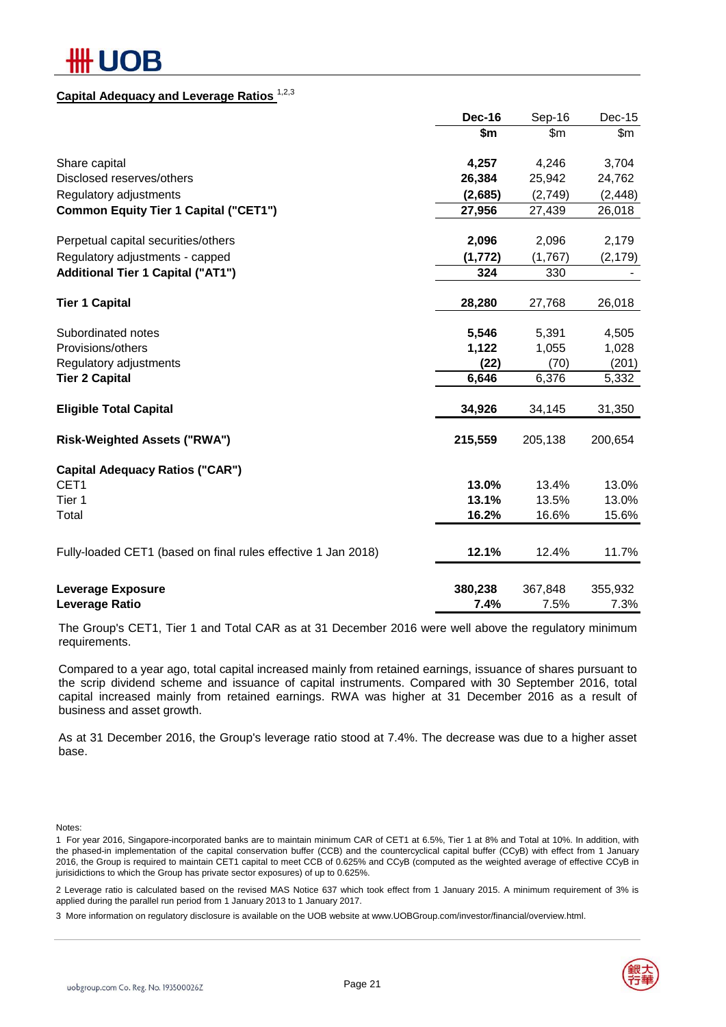# JOB

## **Capital Adequacy and Leverage Ratios** 1,2,3

|                                                               | Dec-16  | Sep-16        | Dec-15        |
|---------------------------------------------------------------|---------|---------------|---------------|
|                                                               | \$m     | $\mathsf{Sm}$ | $\mathsf{Sm}$ |
| Share capital                                                 | 4,257   | 4,246         | 3,704         |
| Disclosed reserves/others                                     | 26,384  | 25,942        | 24,762        |
| Regulatory adjustments                                        | (2,685) | (2,749)       | (2, 448)      |
| <b>Common Equity Tier 1 Capital ("CET1")</b>                  | 27,956  | 27,439        | 26,018        |
| Perpetual capital securities/others                           | 2,096   | 2,096         | 2,179         |
| Regulatory adjustments - capped                               | (1,772) | (1,767)       |               |
| <b>Additional Tier 1 Capital ("AT1")</b>                      | 324     | 330           | (2, 179)      |
|                                                               |         |               |               |
| <b>Tier 1 Capital</b>                                         | 28,280  | 27,768        | 26,018        |
| Subordinated notes                                            | 5,546   | 5,391         | 4,505         |
| Provisions/others                                             | 1,122   | 1,055         | 1,028         |
| Regulatory adjustments                                        | (22)    | (70)          | (201)         |
| <b>Tier 2 Capital</b>                                         | 6,646   | 6,376         | 5,332         |
| <b>Eligible Total Capital</b>                                 | 34,926  | 34,145        | 31,350        |
| <b>Risk-Weighted Assets ("RWA")</b>                           | 215,559 | 205,138       | 200,654       |
| <b>Capital Adequacy Ratios ("CAR")</b>                        |         |               |               |
| CET <sub>1</sub>                                              | 13.0%   | 13.4%         | 13.0%         |
| Tier 1                                                        | 13.1%   | 13.5%         | 13.0%         |
| Total                                                         | 16.2%   | 16.6%         | 15.6%         |
| Fully-loaded CET1 (based on final rules effective 1 Jan 2018) | 12.1%   | 12.4%         | 11.7%         |
| <b>Leverage Exposure</b>                                      | 380,238 | 367,848       | 355,932       |
| <b>Leverage Ratio</b>                                         | 7.4%    | 7.5%          | 7.3%          |

The Group's CET1, Tier 1 and Total CAR as at 31 December 2016 were well above the regulatory minimum requirements.

Compared to a year ago, total capital increased mainly from retained earnings, issuance of shares pursuant to the scrip dividend scheme and issuance of capital instruments. Compared with 30 September 2016, total capital increased mainly from retained earnings. RWA was higher at 31 December 2016 as a result of business and asset growth.

As at 31 December 2016, the Group's leverage ratio stood at 7.4%. The decrease was due to a higher asset base.

Notes:

2 Leverage ratio is calculated based on the revised MAS Notice 637 which took effect from 1 January 2015. A minimum requirement of 3% is applied during the parallel run period from 1 January 2013 to 1 January 2017.

3 More information on regulatory disclosure is available on the UOB website at www.UOBGroup.com/investor/financial/overview.html.



<sup>1</sup> For year 2016, Singapore-incorporated banks are to maintain minimum CAR of CET1 at 6.5%, Tier 1 at 8% and Total at 10%. In addition, with the phased-in implementation of the capital conservation buffer (CCB) and the countercyclical capital buffer (CCyB) with effect from 1 January 2016, the Group is required to maintain CET1 capital to meet CCB of 0.625% and CCyB (computed as the weighted average of effective CCyB in jurisidictions to which the Group has private sector exposures) of up to 0.625%.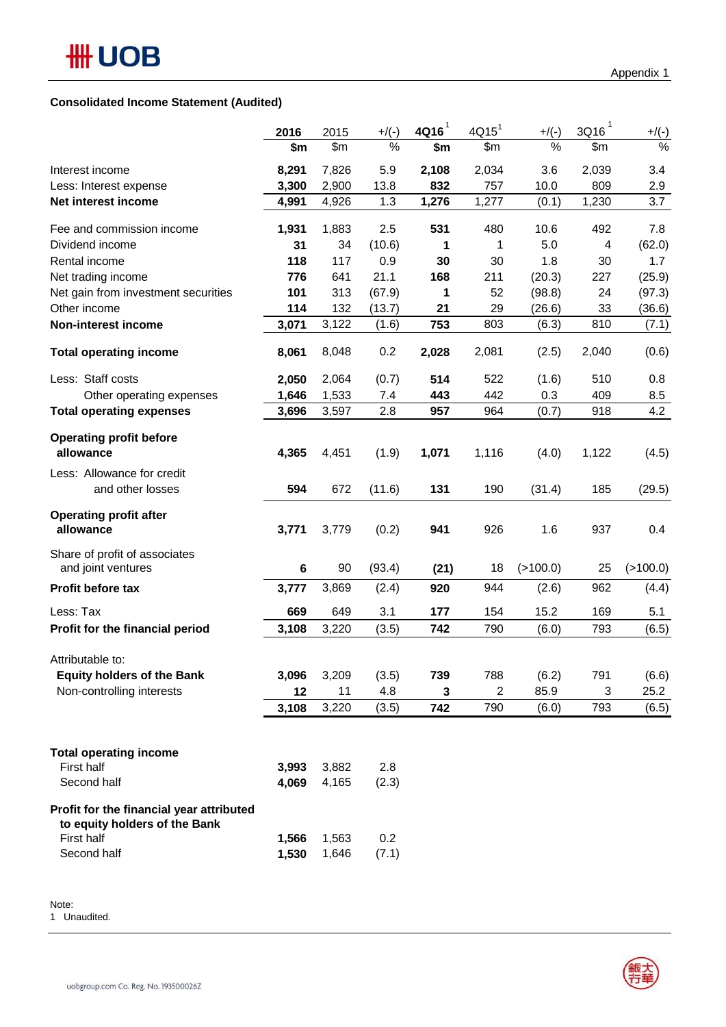## **Consolidated Income Statement (Audited)**

|                                          | 2016    | 2015  | $+$ /(-) | 1<br>4Q16 | $4Q15$ <sup>1</sup> | $+$ /(-) | 3Q16  | $+/(-)$  |
|------------------------------------------|---------|-------|----------|-----------|---------------------|----------|-------|----------|
|                                          | \$m     | \$m\$ | $\%$     | \$m       | \$m                 | %        | \$m\$ | $\%$     |
| Interest income                          | 8,291   | 7,826 | 5.9      | 2,108     | 2,034               | 3.6      | 2,039 | 3.4      |
| Less: Interest expense                   | 3,300   | 2,900 | 13.8     | 832       | 757                 | 10.0     | 809   | 2.9      |
| Net interest income                      | 4,991   | 4,926 | 1.3      | 1,276     | 1,277               | (0.1)    | 1,230 | 3.7      |
| Fee and commission income                | 1,931   | 1,883 | 2.5      | 531       | 480                 | 10.6     | 492   | 7.8      |
| Dividend income                          | 31      | 34    | (10.6)   | 1         | 1                   | 5.0      | 4     | (62.0)   |
| Rental income                            | 118     | 117   | 0.9      | 30        | 30                  | 1.8      | 30    | 1.7      |
| Net trading income                       | 776     | 641   | 21.1     | 168       | 211                 | (20.3)   | 227   | (25.9)   |
| Net gain from investment securities      | 101     | 313   | (67.9)   | 1         | 52                  | (98.8)   | 24    | (97.3)   |
| Other income                             | 114     | 132   | (13.7)   | 21        | 29                  | (26.6)   | 33    | (36.6)   |
| <b>Non-interest income</b>               | 3,071   | 3,122 | (1.6)    | 753       | 803                 | (6.3)    | 810   | (7.1)    |
| <b>Total operating income</b>            | 8,061   | 8,048 | 0.2      | 2,028     | 2,081               | (2.5)    | 2,040 | (0.6)    |
| Less: Staff costs                        | 2,050   | 2,064 | (0.7)    | 514       | 522                 | (1.6)    | 510   | 0.8      |
| Other operating expenses                 | 1,646   | 1,533 | 7.4      | 443       | 442                 | 0.3      | 409   | 8.5      |
| <b>Total operating expenses</b>          | 3,696   | 3,597 | 2.8      | 957       | 964                 | (0.7)    | 918   | 4.2      |
| <b>Operating profit before</b>           |         |       |          |           |                     |          |       |          |
| allowance                                | 4,365   | 4,451 | (1.9)    | 1,071     | 1,116               | (4.0)    | 1,122 | (4.5)    |
| Less: Allowance for credit               |         |       |          |           |                     |          |       |          |
| and other losses                         | 594     | 672   | (11.6)   | 131       | 190                 | (31.4)   | 185   | (29.5)   |
| <b>Operating profit after</b>            |         |       |          |           |                     |          |       |          |
| allowance                                | 3,771   | 3,779 | (0.2)    | 941       | 926                 | 1.6      | 937   | 0.4      |
| Share of profit of associates            |         |       |          |           |                     |          |       |          |
| and joint ventures                       | $\bf 6$ | 90    | (93.4)   | (21)      | 18                  | (>100.0) | 25    | (>100.0) |
| <b>Profit before tax</b>                 | 3,777   | 3,869 | (2.4)    | 920       | 944                 | (2.6)    | 962   | (4.4)    |
| Less: Tax                                | 669     | 649   | 3.1      | 177       | 154                 | 15.2     | 169   | 5.1      |
| Profit for the financial period          | 3,108   | 3,220 | (3.5)    | 742       | 790                 | (6.0)    | 793   | (6.5)    |
| Attributable to:                         |         |       |          |           |                     |          |       |          |
| <b>Equity holders of the Bank</b>        | 3,096   | 3,209 | (3.5)    | 739       | 788                 | (6.2)    | 791   | (6.6)    |
| Non-controlling interests                | 12      | 11    | 4.8      | 3         | $\overline{2}$      | 85.9     | 3     | 25.2     |
|                                          | 3,108   | 3,220 | (3.5)    | 742       | 790                 | (6.0)    | 793   | (6.5)    |
|                                          |         |       |          |           |                     |          |       |          |
| <b>Total operating income</b>            |         |       |          |           |                     |          |       |          |
| First half                               | 3,993   | 3,882 | 2.8      |           |                     |          |       |          |
| Second half                              | 4,069   | 4,165 | (2.3)    |           |                     |          |       |          |
| Profit for the financial year attributed |         |       |          |           |                     |          |       |          |
| to equity holders of the Bank            |         |       |          |           |                     |          |       |          |
| First half                               | 1,566   | 1,563 | 0.2      |           |                     |          |       |          |
| Second half                              | 1,530   | 1,646 | (7.1)    |           |                     |          |       |          |

Note:

1 Unaudited.

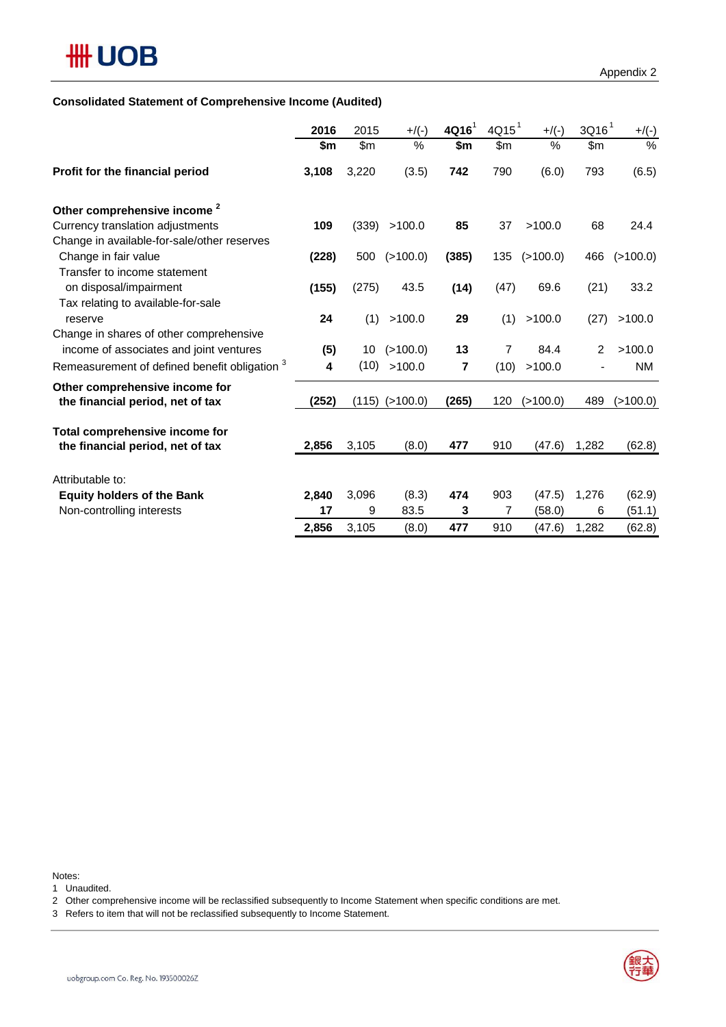#### **Consolidated Statement of Comprehensive Income (Audited)**

|                                                                    | 2016  | 2015          | $+$ /(-)           | $4Q16$ <sup>1</sup> | 4Q15 <sup>1</sup> | $+$ /(-)    | $\underline{3Q16}^1$ | $+$ /(-)  |
|--------------------------------------------------------------------|-------|---------------|--------------------|---------------------|-------------------|-------------|----------------------|-----------|
|                                                                    | \$m   | $\mathsf{Sm}$ | $\%$               | \$m                 | \$m\$             | %           | \$m                  | %         |
| Profit for the financial period                                    | 3,108 | 3,220         | (3.5)              | 742                 | 790               | (6.0)       | 793                  | (6.5)     |
| Other comprehensive income <sup>2</sup>                            |       |               |                    |                     |                   |             |                      |           |
| Currency translation adjustments                                   | 109   | (339)         | >100.0             | 85                  | 37                | >100.0      | 68                   | 24.4      |
| Change in available-for-sale/other reserves                        |       |               |                    |                     |                   |             |                      |           |
| Change in fair value<br>Transfer to income statement               | (228) | 500           | (>100.0)           | (385)               | 135               | (>100.0)    | 466                  | (>100.0)  |
| on disposal/impairment                                             | (155) | (275)         | 43.5               | (14)                | (47)              | 69.6        | (21)                 | 33.2      |
| Tax relating to available-for-sale                                 |       |               |                    |                     |                   |             |                      |           |
| reserve                                                            | 24    | (1)           | >100.0             | 29                  | (1)               | >100.0      | (27)                 | >100.0    |
| Change in shares of other comprehensive                            |       |               |                    |                     |                   |             |                      |           |
| income of associates and joint ventures                            | (5)   | 10            | (>100.0)           | 13                  | 7                 | 84.4        | $\overline{2}$       | >100.0    |
| Remeasurement of defined benefit obligation 3                      | 4     | (10)          | >100.0             | $\overline{7}$      | (10)              | >100.0      |                      | <b>NM</b> |
| Other comprehensive income for<br>the financial period, net of tax | (252) |               | $(115)$ $(>100.0)$ | (265)               | 120               | $($ >100.0) | 489                  | (>100.0)  |
|                                                                    |       |               |                    |                     |                   |             |                      |           |
| Total comprehensive income for                                     |       |               |                    |                     |                   |             |                      |           |
| the financial period, net of tax                                   | 2,856 | 3,105         | (8.0)              | 477                 | 910               | (47.6)      | 1,282                | (62.8)    |
| Attributable to:                                                   |       |               |                    |                     |                   |             |                      |           |
| <b>Equity holders of the Bank</b>                                  | 2,840 | 3,096         | (8.3)              | 474                 | 903               | (47.5)      | 1,276                | (62.9)    |
| Non-controlling interests                                          | 17    | 9             | 83.5               | 3                   | 7                 | (58.0)      | 6                    | (51.1)    |
|                                                                    | 2,856 | 3,105         | (8.0)              | 477                 | 910               | (47.6)      | 1,282                | (62.8)    |

Notes:

1 Unaudited.

2 Other comprehensive income will be reclassified subsequently to Income Statement when specific conditions are met.

3 Refers to item that will not be reclassified subsequently to Income Statement.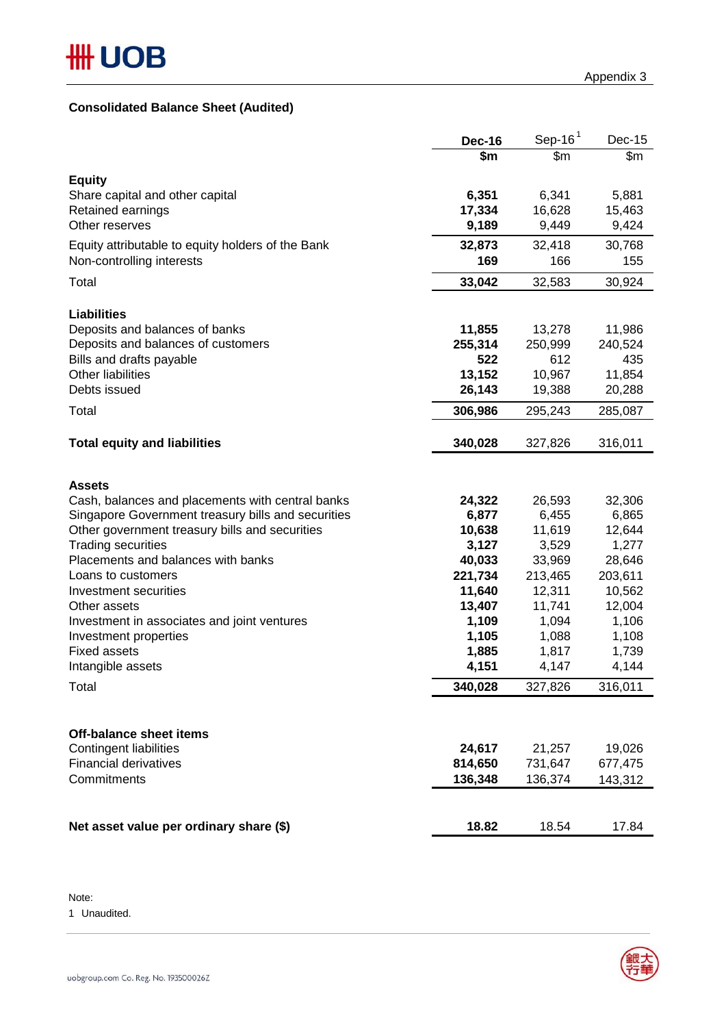## **Consolidated Balance Sheet (Audited)**

|                                                    | <b>Dec-16</b> | Sep-16 $1$ | Dec-15  |
|----------------------------------------------------|---------------|------------|---------|
|                                                    | \$m           | \$m        | \$m     |
| <b>Equity</b>                                      |               |            |         |
| Share capital and other capital                    | 6,351         | 6,341      | 5,881   |
| Retained earnings                                  | 17,334        | 16,628     | 15,463  |
| Other reserves                                     | 9,189         | 9,449      | 9,424   |
| Equity attributable to equity holders of the Bank  | 32,873        | 32,418     | 30,768  |
| Non-controlling interests                          | 169           | 166        | 155     |
| Total                                              | 33,042        | 32,583     | 30,924  |
|                                                    |               |            |         |
| <b>Liabilities</b>                                 |               |            |         |
| Deposits and balances of banks                     | 11,855        | 13,278     | 11,986  |
| Deposits and balances of customers                 | 255,314       | 250,999    | 240,524 |
| Bills and drafts payable                           | 522           | 612        | 435     |
| Other liabilities                                  | 13,152        | 10,967     | 11,854  |
| Debts issued                                       | 26,143        | 19,388     | 20,288  |
| Total                                              | 306,986       | 295,243    | 285,087 |
|                                                    |               |            |         |
| <b>Total equity and liabilities</b>                | 340,028       | 327,826    | 316,011 |
| <b>Assets</b>                                      |               |            |         |
| Cash, balances and placements with central banks   | 24,322        | 26,593     | 32,306  |
| Singapore Government treasury bills and securities | 6,877         | 6,455      | 6,865   |
| Other government treasury bills and securities     | 10,638        | 11,619     | 12,644  |
| <b>Trading securities</b>                          | 3,127         | 3,529      | 1,277   |
| Placements and balances with banks                 | 40,033        | 33,969     | 28,646  |
| Loans to customers                                 | 221,734       | 213,465    | 203,611 |
| Investment securities                              | 11,640        | 12,311     | 10,562  |
| Other assets                                       | 13,407        | 11,741     | 12,004  |
| Investment in associates and joint ventures        | 1,109         | 1,094      | 1,106   |
| Investment properties                              | 1,105         | 1,088      | 1,108   |
| <b>Fixed assets</b>                                | 1,885         | 1,817      | 1,739   |
| Intangible assets                                  | 4,151         | 4,147      | 4,144   |
| Total                                              | 340,028       | 327,826    | 316,011 |
|                                                    |               |            |         |
| <b>Off-balance sheet items</b>                     |               |            |         |
| <b>Contingent liabilities</b>                      | 24,617        | 21,257     | 19,026  |
| <b>Financial derivatives</b>                       | 814,650       | 731,647    | 677,475 |
| Commitments                                        | 136,348       | 136,374    | 143,312 |
|                                                    |               |            |         |
| Net asset value per ordinary share (\$)            | 18.82         | 18.54      | 17.84   |

Note: 1 Unaudited.

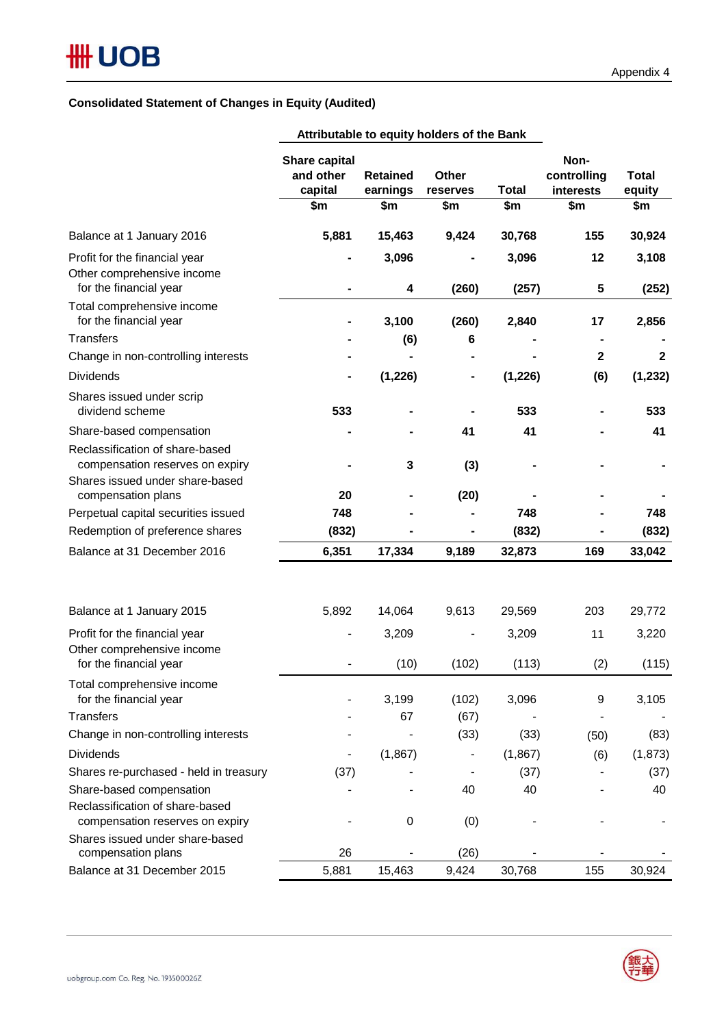### **Consolidated Statement of Changes in Equity (Audited)**

|                                                                    |                                       |                             | Attributable to equity holders of the Bank |              |                                  |                        |
|--------------------------------------------------------------------|---------------------------------------|-----------------------------|--------------------------------------------|--------------|----------------------------------|------------------------|
|                                                                    | Share capital<br>and other<br>capital | <b>Retained</b><br>earnings | <b>Other</b><br>reserves                   | <b>Total</b> | Non-<br>controlling<br>interests | <b>Total</b><br>equity |
|                                                                    | \$m                                   | \$m                         | \$m                                        | \$m          | \$m                              | \$m                    |
| Balance at 1 January 2016                                          | 5,881                                 | 15,463                      | 9,424                                      | 30,768       | 155                              | 30,924                 |
| Profit for the financial year                                      |                                       | 3,096                       |                                            | 3,096        | 12                               | 3,108                  |
| Other comprehensive income<br>for the financial year               |                                       | 4                           | (260)                                      | (257)        | 5                                | (252)                  |
| Total comprehensive income<br>for the financial year               |                                       | 3,100                       | (260)                                      | 2,840        | 17                               | 2,856                  |
| <b>Transfers</b>                                                   |                                       | (6)                         | 6                                          |              |                                  |                        |
| Change in non-controlling interests                                |                                       |                             |                                            |              | $\mathbf{2}$                     | $\mathbf{2}$           |
| <b>Dividends</b>                                                   |                                       | (1, 226)                    | ۰                                          | (1, 226)     | (6)                              | (1, 232)               |
| Shares issued under scrip<br>dividend scheme                       | 533                                   |                             |                                            | 533          |                                  | 533                    |
|                                                                    |                                       |                             |                                            |              |                                  |                        |
| Share-based compensation                                           |                                       |                             | 41                                         | 41           |                                  | 41                     |
| Reclassification of share-based<br>compensation reserves on expiry |                                       | 3                           | (3)                                        |              |                                  |                        |
| Shares issued under share-based<br>compensation plans              | 20                                    |                             | (20)                                       |              |                                  |                        |
| Perpetual capital securities issued                                | 748                                   |                             |                                            | 748          |                                  | 748                    |
| Redemption of preference shares                                    | (832)                                 |                             | ٠                                          | (832)        |                                  | (832)                  |
| Balance at 31 December 2016                                        | 6,351                                 | 17,334                      | 9,189                                      | 32,873       | 169                              | 33,042                 |
|                                                                    |                                       |                             |                                            |              |                                  |                        |
| Balance at 1 January 2015                                          | 5,892                                 | 14,064                      | 9,613                                      | 29,569       | 203                              | 29,772                 |
| Profit for the financial year                                      |                                       | 3,209                       |                                            | 3,209        | 11                               | 3,220                  |
| Other comprehensive income<br>for the financial year               |                                       | (10)                        | (102)                                      | (113)        | (2)                              | (115)                  |
| Total comprehensive income                                         |                                       |                             |                                            |              |                                  |                        |
| for the financial year                                             |                                       | 3,199                       | (102)                                      | 3,096        | 9                                | 3,105                  |
| <b>Transfers</b>                                                   |                                       | 67                          | (67)                                       |              |                                  |                        |
| Change in non-controlling interests                                |                                       |                             | (33)                                       | (33)         | (50)                             | (83)                   |
| <b>Dividends</b>                                                   |                                       | (1,867)                     |                                            | (1, 867)     | (6)                              | (1, 873)               |
| Shares re-purchased - held in treasury                             | (37)                                  |                             |                                            | (37)         |                                  | (37)                   |
| Share-based compensation                                           |                                       |                             | 40                                         | 40           |                                  | 40                     |
| Reclassification of share-based                                    |                                       |                             |                                            |              |                                  |                        |
| compensation reserves on expiry                                    |                                       | $\boldsymbol{0}$            | (0)                                        |              |                                  |                        |
| Shares issued under share-based<br>compensation plans              | 26                                    |                             | (26)                                       |              |                                  |                        |
| Balance at 31 December 2015                                        | 5,881                                 | 15,463                      | 9,424                                      | 30,768       | 155                              | 30,924                 |

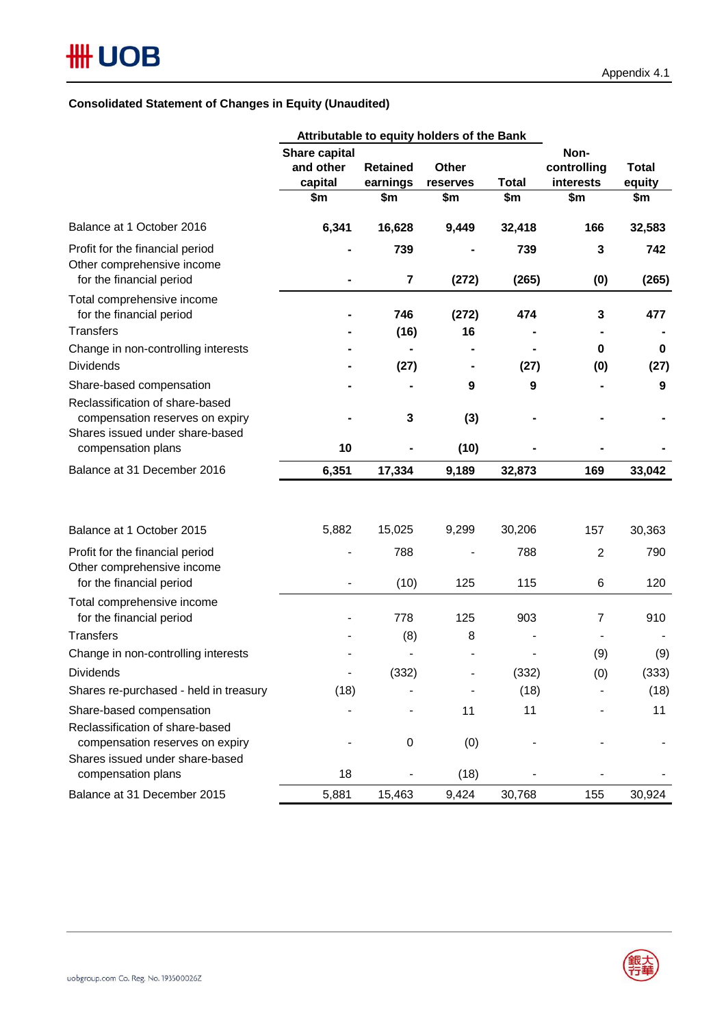## **Consolidated Statement of Changes in Equity (Unaudited)**

|                                                                                           | Attributable to equity holders of the Bank   |                                                  |       |              |                                  |                        |
|-------------------------------------------------------------------------------------------|----------------------------------------------|--------------------------------------------------|-------|--------------|----------------------------------|------------------------|
|                                                                                           | <b>Share capital</b><br>and other<br>capital | <b>Retained</b><br>Other<br>earnings<br>reserves |       | <b>Total</b> | Non-<br>controlling<br>interests | <b>Total</b><br>equity |
|                                                                                           | \$m                                          | \$m                                              | \$m   | \$m          | \$m                              | \$m                    |
| Balance at 1 October 2016                                                                 | 6,341                                        | 16,628                                           | 9,449 | 32,418       | 166                              | 32,583                 |
| Profit for the financial period<br>Other comprehensive income<br>for the financial period |                                              | 739<br>$\overline{\mathbf{r}}$                   | (272) | 739<br>(265) | 3<br>(0)                         | 742<br>(265)           |
| Total comprehensive income<br>for the financial period                                    |                                              | 746                                              | (272) | 474          | 3                                | 477                    |
| Transfers                                                                                 |                                              | (16)                                             | 16    |              | $\bf{0}$                         |                        |
| Change in non-controlling interests<br><b>Dividends</b>                                   |                                              | (27)                                             |       | (27)         | (0)                              | 0<br>(27)              |
| Share-based compensation<br>Reclassification of share-based                               |                                              |                                                  | 9     | 9            |                                  | 9                      |
| compensation reserves on expiry<br>Shares issued under share-based                        |                                              | 3                                                | (3)   |              |                                  |                        |
| compensation plans                                                                        | 10                                           |                                                  | (10)  |              |                                  |                        |
| Balance at 31 December 2016                                                               | 6,351                                        | 17,334                                           | 9,189 | 32,873       | 169                              | 33,042                 |
| Balance at 1 October 2015                                                                 | 5,882                                        | 15,025                                           | 9,299 | 30,206       | 157                              | 30,363                 |
| Profit for the financial period<br>Other comprehensive income                             |                                              | 788                                              |       | 788          | 2                                | 790                    |
| for the financial period                                                                  |                                              | (10)                                             | 125   | 115          | 6                                | 120                    |
| Total comprehensive income<br>for the financial period                                    |                                              | 778                                              | 125   | 903          | $\overline{7}$                   | 910                    |
| Transfers                                                                                 |                                              | (8)                                              | 8     |              |                                  |                        |
| Change in non-controlling interests                                                       |                                              |                                                  |       |              | (9)                              | (9)                    |
| <b>Dividends</b>                                                                          |                                              | (332)                                            |       | (332)        | (0)                              | (333)                  |
| Shares re-purchased - held in treasury                                                    | (18)                                         |                                                  |       | (18)         |                                  | (18)                   |
| Share-based compensation                                                                  |                                              |                                                  | 11    | 11           |                                  | 11                     |
| Reclassification of share-based<br>compensation reserves on expiry                        |                                              | $\pmb{0}$                                        | (0)   |              |                                  |                        |
| Shares issued under share-based<br>compensation plans                                     | 18                                           |                                                  | (18)  |              |                                  |                        |
| Balance at 31 December 2015                                                               | 5,881                                        | 15,463                                           | 9,424 | 30,768       | 155                              | 30,924                 |

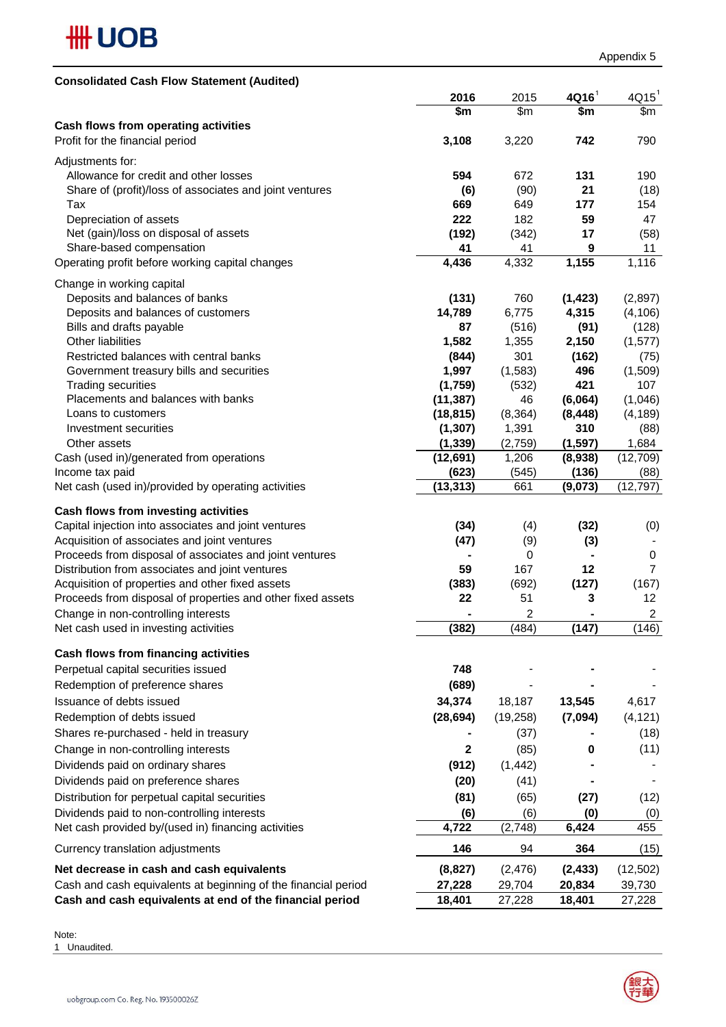| <b>Consolidated Cash Flow Statement (Audited)</b>              |                    |              |                   |                     |
|----------------------------------------------------------------|--------------------|--------------|-------------------|---------------------|
|                                                                | 2016               | 2015         | 4Q16 <sup>1</sup> | $4Q15$ <sup>1</sup> |
|                                                                | \$m                | \$m          | \$m               | \$m                 |
| Cash flows from operating activities                           |                    |              |                   |                     |
| Profit for the financial period                                | 3,108              | 3,220        | 742               | 790                 |
| Adjustments for:                                               |                    |              |                   |                     |
| Allowance for credit and other losses                          | 594                | 672          | 131               | 190                 |
| Share of (profit)/loss of associates and joint ventures        | (6)                | (90)         | 21                | (18)                |
| Tax                                                            | 669                | 649          | 177               | 154                 |
| Depreciation of assets                                         | 222                | 182          | 59                | 47                  |
| Net (gain)/loss on disposal of assets                          | (192)              | (342)        | 17                | (58)                |
| Share-based compensation                                       | 41                 | 41           | 9                 | 11                  |
| Operating profit before working capital changes                | 4,436              | 4,332        | 1,155             | 1,116               |
| Change in working capital                                      |                    |              |                   |                     |
| Deposits and balances of banks                                 | (131)              | 760          | (1, 423)          | (2,897)             |
| Deposits and balances of customers                             | 14,789             | 6,775        | 4,315             | (4, 106)            |
| Bills and drafts payable                                       | 87                 | (516)        | (91)              | (128)               |
| Other liabilities                                              | 1,582              | 1,355        | 2,150             | (1, 577)            |
| Restricted balances with central banks                         | (844)              | 301          | (162)             | (75)                |
| Government treasury bills and securities                       | 1,997              | (1,583)      | 496               | (1,509)             |
| <b>Trading securities</b>                                      | (1,759)            | (532)        | 421               | 107                 |
| Placements and balances with banks                             | (11, 387)          | 46           | (6,064)           | (1,046)             |
| Loans to customers                                             | (18, 815)          | (8, 364)     | (8, 448)          | (4, 189)            |
| Investment securities                                          | (1, 307)           | 1,391        | 310               | (88)                |
| Other assets                                                   | (1, 339)           | (2,759)      | (1, 597)          | 1,684               |
| Cash (used in)/generated from operations<br>Income tax paid    | (12, 691)<br>(623) | 1,206        | (8,938)           | (12, 709)           |
| Net cash (used in)/provided by operating activities            | (13, 313)          | (545)<br>661 | (136)<br>(9,073)  | (88)<br>(12, 797)   |
|                                                                |                    |              |                   |                     |
| Cash flows from investing activities                           |                    |              |                   |                     |
| Capital injection into associates and joint ventures           | (34)               | (4)          | (32)              | (0)                 |
| Acquisition of associates and joint ventures                   | (47)               | (9)          | (3)               |                     |
| Proceeds from disposal of associates and joint ventures        |                    | 0            |                   | $\mathbf 0$         |
| Distribution from associates and joint ventures                | 59                 | 167          | 12                | $\overline{7}$      |
| Acquisition of properties and other fixed assets               | (383)              | (692)        | (127)             | (167)               |
| Proceeds from disposal of properties and other fixed assets    | 22                 | 51           | 3                 | 12                  |
| Change in non-controlling interests                            |                    | 2            |                   | $\overline{2}$      |
| Net cash used in investing activities                          | (382)              | (484)        | (147)             | (146)               |
| Cash flows from financing activities                           |                    |              |                   |                     |
| Perpetual capital securities issued                            | 748                |              |                   |                     |
| Redemption of preference shares                                | (689)              |              |                   |                     |
| Issuance of debts issued                                       | 34,374             | 18,187       | 13,545            | 4,617               |
| Redemption of debts issued                                     | (28, 694)          | (19, 258)    | (7,094)           | (4, 121)            |
| Shares re-purchased - held in treasury                         |                    | (37)         |                   | (18)                |
| Change in non-controlling interests                            | 2                  | (85)         | 0                 | (11)                |
|                                                                |                    |              |                   |                     |
| Dividends paid on ordinary shares                              | (912)              | (1, 442)     |                   |                     |
| Dividends paid on preference shares                            | (20)               | (41)         |                   |                     |
| Distribution for perpetual capital securities                  | (81)               | (65)         | (27)              | (12)                |
| Dividends paid to non-controlling interests                    | (6)                | (6)          | (0)               | (0)                 |
| Net cash provided by/(used in) financing activities            | 4,722              | (2,748)      | 6,424             | 455                 |
| Currency translation adjustments                               | 146                | 94           | 364               | (15)                |
| Net decrease in cash and cash equivalents                      | (8, 827)           | (2, 476)     | (2, 433)          | (12, 502)           |
| Cash and cash equivalents at beginning of the financial period | 27,228             | 29,704       | 20,834            | 39,730              |
| Cash and cash equivalents at end of the financial period       | 18,401             | 27,228       | 18,401            | 27,228              |

Note: 1 Unaudited.

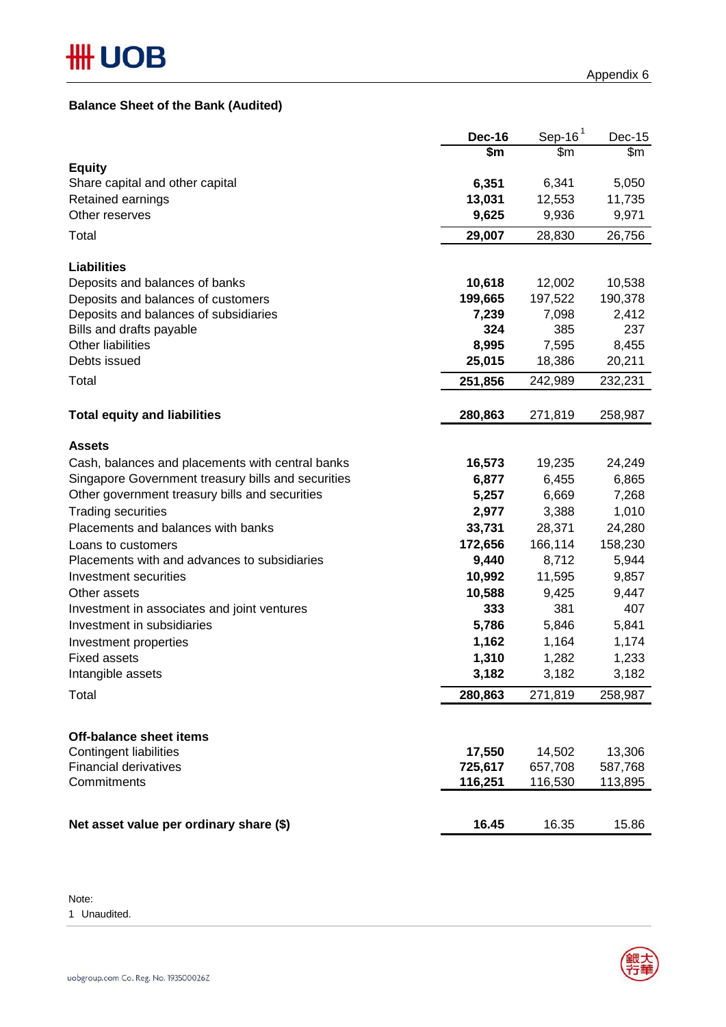## **Balance Sheet of the Bank (Audited)**

|                                                    | <b>Dec-16</b>      | $Sep-161$ | Dec-15  |
|----------------------------------------------------|--------------------|-----------|---------|
|                                                    | \$m                | \$m       | \$m     |
| <b>Equity</b>                                      |                    |           |         |
| Share capital and other capital                    | 6,351              | 6,341     | 5,050   |
| Retained earnings                                  | 13,031             | 12,553    | 11,735  |
| Other reserves                                     | 9,625              | 9,936     | 9,971   |
| Total                                              | 29,007             | 28,830    | 26,756  |
| <b>Liabilities</b>                                 |                    |           |         |
| Deposits and balances of banks                     | 10,618             | 12,002    | 10,538  |
| Deposits and balances of customers                 | 199,665            | 197,522   | 190,378 |
| Deposits and balances of subsidiaries              | 7,239              | 7,098     | 2,412   |
| Bills and drafts payable                           | 324                | 385       | 237     |
| Other liabilities                                  | 8,995              | 7,595     | 8,455   |
| Debts issued                                       | 25,015             | 18,386    | 20,211  |
| Total                                              | 251,856            | 242,989   | 232,231 |
| <b>Total equity and liabilities</b>                | 280,863            | 271,819   | 258,987 |
|                                                    |                    |           |         |
| <b>Assets</b>                                      |                    |           |         |
| Cash, balances and placements with central banks   | 16,573             | 19,235    | 24,249  |
| Singapore Government treasury bills and securities | 6,877              | 6,455     | 6,865   |
| Other government treasury bills and securities     | 5,257              | 6,669     | 7,268   |
| <b>Trading securities</b>                          | 2,977              | 3,388     | 1,010   |
| Placements and balances with banks                 | 33,731             | 28,371    | 24,280  |
| Loans to customers                                 | 172,656            | 166,114   | 158,230 |
| Placements with and advances to subsidiaries       | 9,440              | 8,712     | 5,944   |
| Investment securities                              | 10,992             | 11,595    | 9,857   |
| Other assets                                       | 10,588             | 9,425     | 9,447   |
| Investment in associates and joint ventures        | 333                | 381       | 407     |
| Investment in subsidiaries                         | 5,786              | 5,846     | 5,841   |
| Investment properties                              | 1,162              | 1,164     | 1,174   |
| <b>Fixed assets</b>                                | 1,310              | 1,282     | 1,233   |
| Intangible assets                                  | 3,182              | 3,182     | 3,182   |
| Total                                              | 280,863            | 271,819   | 258,987 |
|                                                    |                    |           |         |
| Off-balance sheet items                            |                    |           |         |
| <b>Contingent liabilities</b>                      | 17,550             | 14,502    | 13,306  |
| <b>Financial derivatives</b><br>Commitments        | 725,617<br>116,251 | 657,708   | 587,768 |
|                                                    |                    | 116,530   | 113,895 |
| Net asset value per ordinary share (\$)            | 16.45              | 16.35     | 15.86   |

Note: 1 Unaudited.

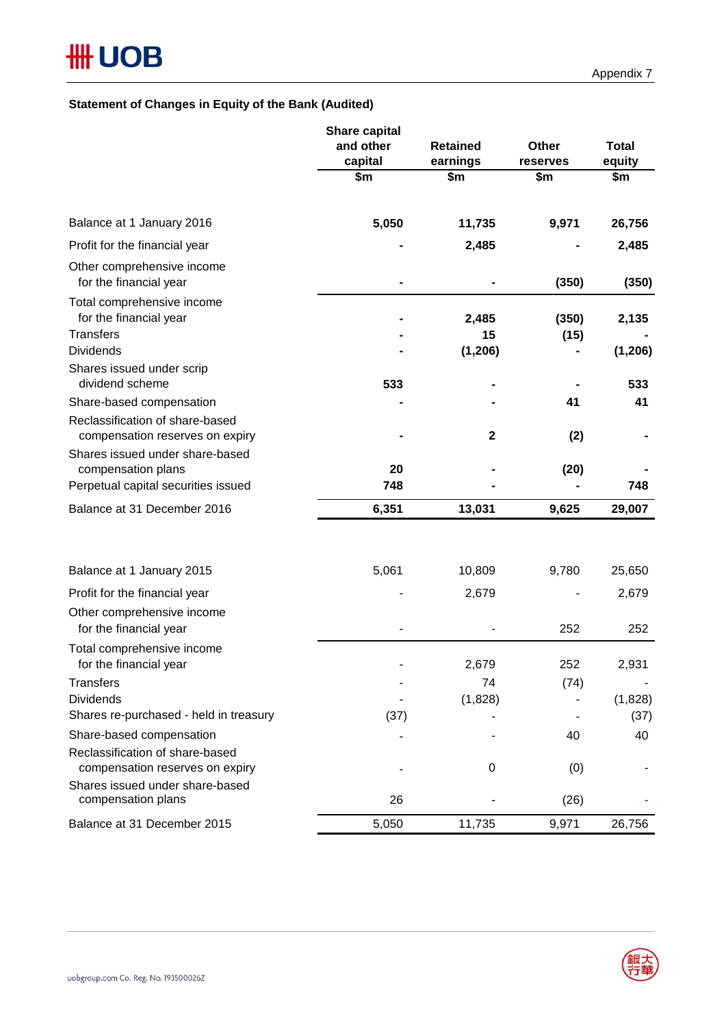## **Statement of Changes in Equity of the Bank (Audited)**

|                                                                                                       | Share capital<br>and other<br>capital | <b>Retained</b><br>earnings | <b>Other</b><br>reserves | <b>Total</b><br>equity |
|-------------------------------------------------------------------------------------------------------|---------------------------------------|-----------------------------|--------------------------|------------------------|
|                                                                                                       | \$m                                   | \$m                         | \$m                      | \$m                    |
| Balance at 1 January 2016                                                                             | 5,050                                 | 11,735                      | 9,971                    | 26,756                 |
| Profit for the financial year                                                                         |                                       | 2,485                       |                          | 2,485                  |
| Other comprehensive income<br>for the financial year                                                  |                                       |                             | (350)                    | (350)                  |
| Total comprehensive income<br>for the financial year                                                  |                                       | 2,485                       | (350)                    | 2,135                  |
| <b>Transfers</b><br><b>Dividends</b>                                                                  |                                       | 15<br>(1, 206)              | (15)                     | (1, 206)               |
| Shares issued under scrip<br>dividend scheme                                                          | 533                                   |                             |                          | 533                    |
| Share-based compensation                                                                              |                                       |                             | 41                       | 41                     |
| Reclassification of share-based<br>compensation reserves on expiry                                    |                                       | $\mathbf{2}$                | (2)                      |                        |
| Shares issued under share-based<br>compensation plans                                                 | 20                                    |                             | (20)                     |                        |
| Perpetual capital securities issued                                                                   | 748                                   |                             |                          | 748                    |
| Balance at 31 December 2016                                                                           | 6,351                                 | 13,031                      | 9,625                    | 29,007                 |
|                                                                                                       |                                       |                             |                          |                        |
| Balance at 1 January 2015                                                                             | 5,061                                 | 10,809                      | 9,780                    | 25,650                 |
| Profit for the financial year<br>Other comprehensive income<br>for the financial year                 |                                       | 2,679                       | 252                      | 2,679<br>252           |
| Total comprehensive income<br>for the financial year                                                  |                                       | 2,679                       | 252                      | 2,931                  |
| <b>Transfers</b>                                                                                      |                                       | 74                          | (74)                     |                        |
| <b>Dividends</b>                                                                                      |                                       | (1,828)                     |                          | (1,828)                |
| Shares re-purchased - held in treasury                                                                | (37)                                  |                             |                          | (37)                   |
| Share-based compensation                                                                              |                                       |                             | 40                       | 40                     |
| Reclassification of share-based<br>compensation reserves on expiry<br>Shares issued under share-based |                                       | 0                           | (0)                      |                        |
| compensation plans                                                                                    | 26                                    |                             | (26)                     |                        |
| Balance at 31 December 2015                                                                           | 5,050                                 | 11,735                      | 9,971                    | 26,756                 |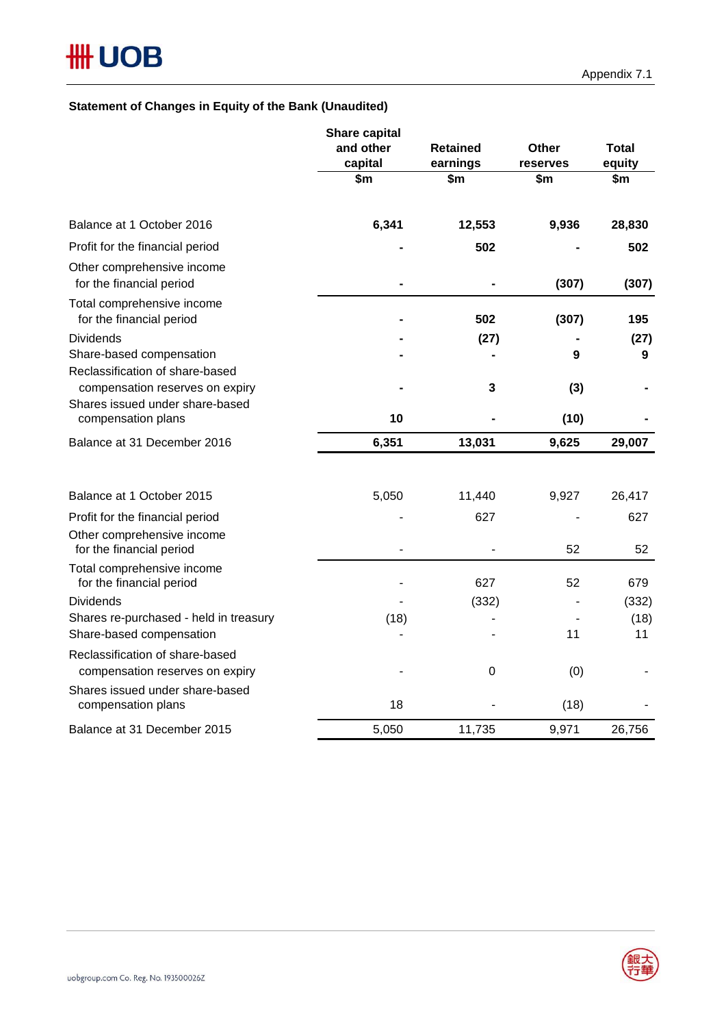## **Statement of Changes in Equity of the Bank (Unaudited)**

|                                                                    | <b>Share capital</b><br>and other<br>capital | <b>Retained</b><br>earnings | Other<br>reserves | <b>Total</b><br>equity |
|--------------------------------------------------------------------|----------------------------------------------|-----------------------------|-------------------|------------------------|
|                                                                    | \$m\$                                        | \$m\$                       | \$m               | \$m                    |
| Balance at 1 October 2016                                          | 6,341                                        | 12,553                      | 9,936             | 28,830                 |
| Profit for the financial period                                    |                                              | 502                         |                   | 502                    |
| Other comprehensive income<br>for the financial period             |                                              |                             | (307)             | (307)                  |
| Total comprehensive income<br>for the financial period             |                                              | 502                         | (307)             | 195                    |
| <b>Dividends</b>                                                   |                                              | (27)                        |                   | (27)                   |
| Share-based compensation                                           |                                              |                             | 9                 | 9                      |
| Reclassification of share-based<br>compensation reserves on expiry |                                              | 3                           | (3)               |                        |
| Shares issued under share-based<br>compensation plans              | 10                                           |                             | (10)              |                        |
| Balance at 31 December 2016                                        | 6,351                                        | 13,031                      | 9,625             | 29,007                 |
| Balance at 1 October 2015                                          | 5,050                                        | 11,440                      | 9,927             | 26,417                 |
| Profit for the financial period                                    |                                              | 627                         |                   | 627                    |
| Other comprehensive income<br>for the financial period             |                                              | $\blacksquare$              | 52                | 52                     |
| Total comprehensive income<br>for the financial period             |                                              | 627                         | 52                | 679                    |
| <b>Dividends</b>                                                   |                                              | (332)                       |                   | (332)                  |
| Shares re-purchased - held in treasury<br>Share-based compensation | (18)                                         |                             | 11                | (18)<br>11             |
| Reclassification of share-based<br>compensation reserves on expiry |                                              | $\pmb{0}$                   | (0)               |                        |
| Shares issued under share-based<br>compensation plans              | 18                                           |                             | (18)              |                        |
| Balance at 31 December 2015                                        | 5,050                                        | 11,735                      | 9,971             | 26,756                 |

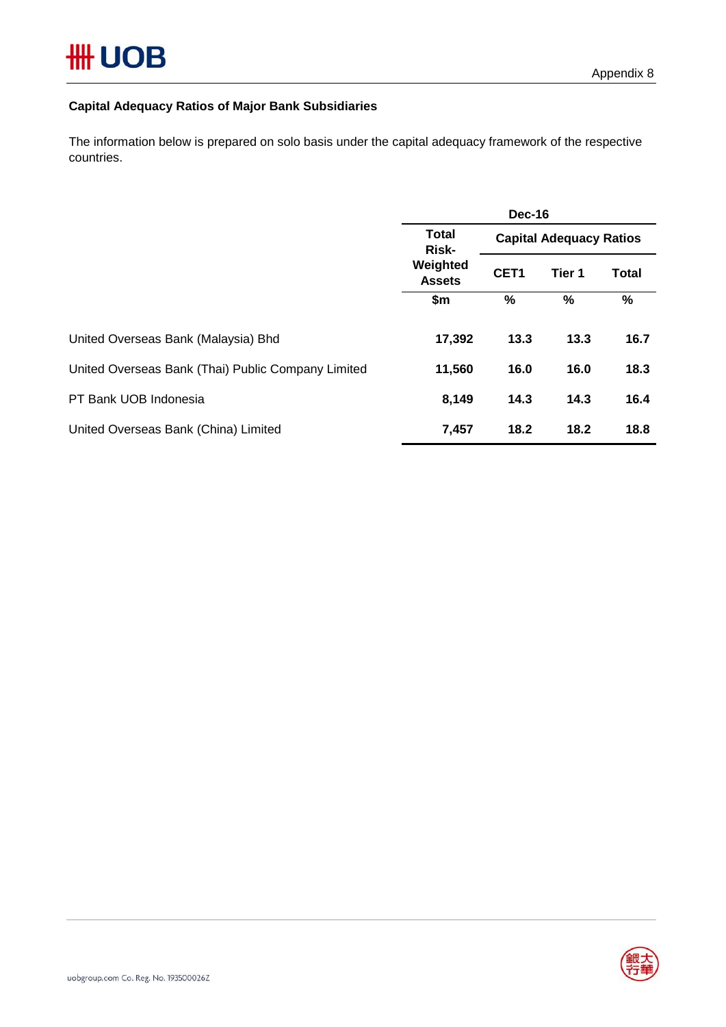### **Capital Adequacy Ratios of Major Bank Subsidiaries**

The information below is prepared on solo basis under the capital adequacy framework of the respective countries.

|                                                    | Dec-16                       |                                |        |              |
|----------------------------------------------------|------------------------------|--------------------------------|--------|--------------|
|                                                    | <b>Total</b><br><b>Risk-</b> | <b>Capital Adequacy Ratios</b> |        |              |
|                                                    | Weighted<br><b>Assets</b>    | CET <sub>1</sub>               | Tier 1 | <b>Total</b> |
|                                                    | \$m                          | $\frac{9}{6}$                  | %      | $\%$         |
| United Overseas Bank (Malaysia) Bhd                | 17,392                       | 13.3                           | 13.3   | 16.7         |
| United Overseas Bank (Thai) Public Company Limited | 11,560                       | 16.0                           | 16.0   | 18.3         |
| PT Bank UOB Indonesia                              | 8,149                        | 14.3                           | 14.3   | 16.4         |
| United Overseas Bank (China) Limited               | 7,457                        | 18.2                           | 18.2   | 18.8         |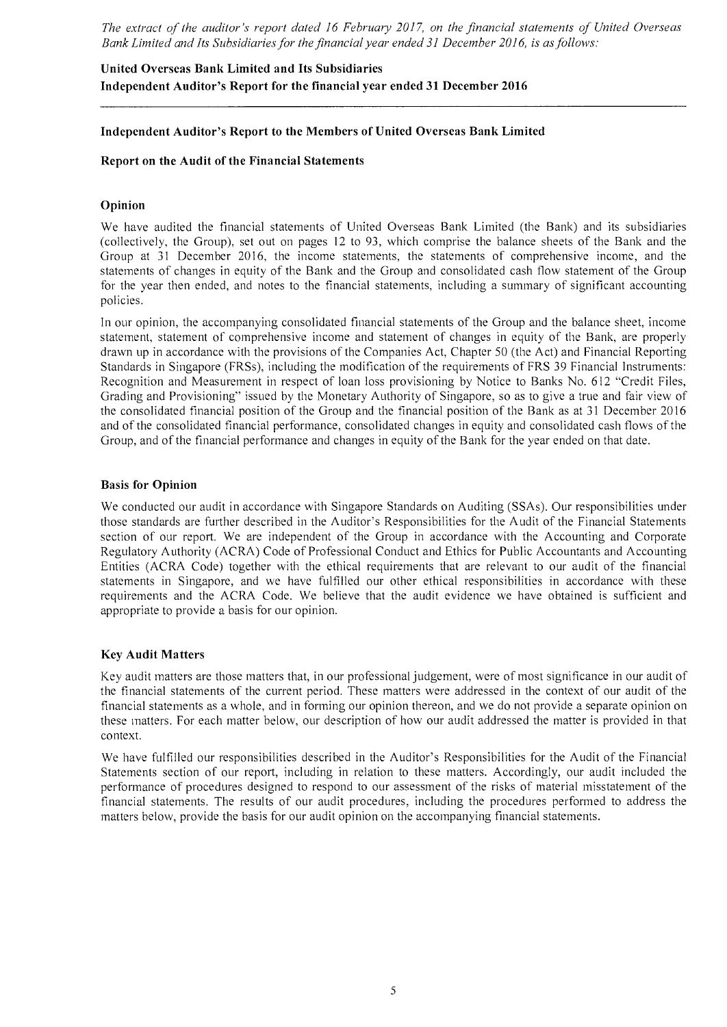The extract of the auditor's report dated 16 February 2017, on the financial statements of United Overseas Bank Limited and Its Subsidiaries for the financial year ended 31 December 2016, is as follows:

#### United Overseas Bank Limited and Its Subsidiaries Independent Auditor's Report for the financial year ended 31 December 2016

#### Independent Auditor's Report to the Members of United Overseas Bank Limited

#### Report on the Audit of the Financial Statements

#### Opinion

We have audited the financial statements of United Overseas Bank Limited (the Bank) and its subsidiaries (collectively, the Group), set out on pages 12 to 93, which comprise the balance sheets of the Bank and the Group at 31 December 2016, the income statements, the statements of comprehensive income, and the statements of changes in equity of the Bank and the Group and consolidated cash flow statement of the Group for the year then ended, and notes to the financial statements, including a summary of significant accounting policies.

In our opinion, the accompanying consolidated financial statements of the Group and the balance sheet, income statement, statement of comprehensive income and statement of changes in equity of the Bank, are properly drawn up in accordance with the provisions of the Companies Act, Chapter 50 (the Act) and Financial Reporting Standards in Singapore (FRSs), including the modification of the requirements of FRS 39 Financial Instruments: Recognition and Measurement in respect of loan loss provisioning by Notice to Banks No. 612 "Credit Files, Grading and Provisioning" issued by the Monetary Authority of Singapore, so as to give a true and fair view of the consolidated financial position of the Group and the financial position of the Bank as at 31 December 2016 and of the consolidated financial performance, consolidated changes in equity and consolidated cash flows of the Group, and of the financial performance and changes in equity of the Bank for the year ended on that date.

#### Basis for Opinion

We conducted our audit in accordance with Singapore Standards on Auditing (SSAs). Our responsibilities under those standards are further described in the Auditor's Responsibilities for the Audit of the Financial Statements section of our report. We are independent of the Group in accordance with the Accounting and Corporate Regulatory Authority (ACRA) Code of Professional Conduct and Ethics for Public Accountants and Accounting Entities (ACRA Code) together with the ethical requirements that are relevant to our audit of the financial statements in Singapore, and we have fulfilled our other ethical responsibilities in accordance with these requirements and the ACRA Code. We believe that the audit evidence we have obtained is sufficient and appropriate to provide a basis for our opinion.

#### Key Audit Matters

Key audit matters are those matters that, in our professional judgement, were of most significance in our audit of the financial statements of the current period. These matters were addressed in the context of our audit of the financial statements as a whole, and in forming our opinion thereon, and we do not provide a separate opinion on these matters. For each matter below, our description of how our audit addressed the matter is provided in that context.

We have fulfilled our responsibilities described in the Auditor's Responsibilities for the Audit of the Financial Statements section of our report, including in relation to these matters. Accordingly, our audit included the performance of procedures designed to respond to our assessment of the risks of material misstatement of the financial statements. The results of our audit procedures, including the procedures performed to address the matters below, provide the basis for our audit opinion on the accompanying financial statements.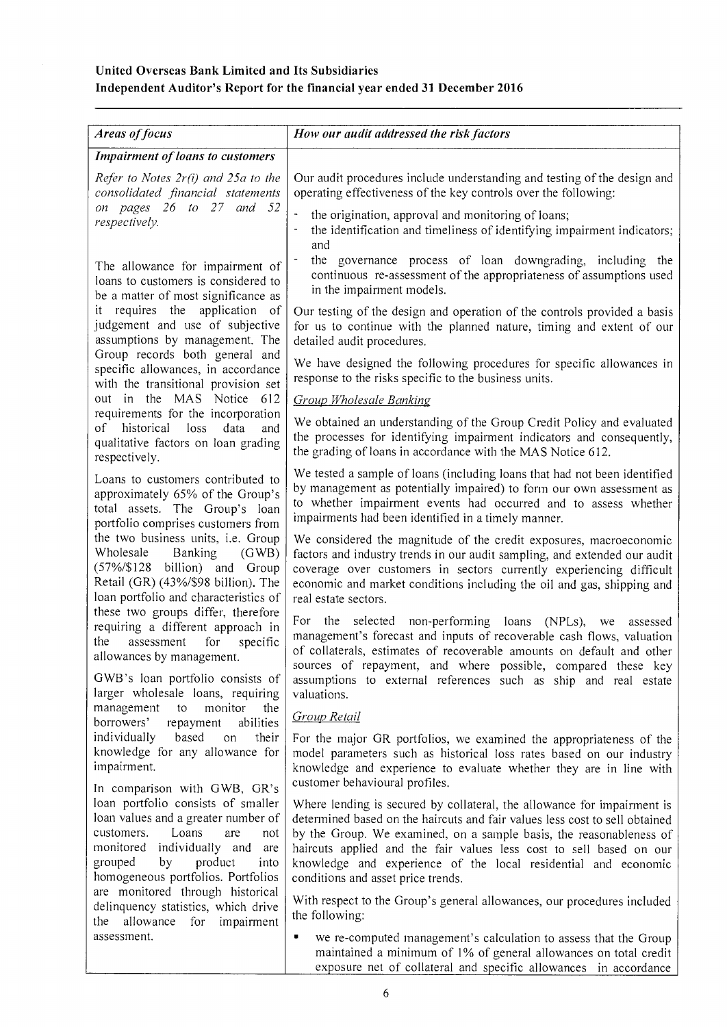| Areas of focus                                                                                                                                                                          | How our audit addressed the risk factors                                                                                                                                                                                                                                                                                 |
|-----------------------------------------------------------------------------------------------------------------------------------------------------------------------------------------|--------------------------------------------------------------------------------------------------------------------------------------------------------------------------------------------------------------------------------------------------------------------------------------------------------------------------|
| <b>Impairment of loans to customers</b>                                                                                                                                                 |                                                                                                                                                                                                                                                                                                                          |
| Refer to Notes 2r(i) and 25a to the<br>consolidated financial statements                                                                                                                | Our audit procedures include understanding and testing of the design and<br>operating effectiveness of the key controls over the following:                                                                                                                                                                              |
| on pages 26 to 27 and 52<br>respectively.                                                                                                                                               | the origination, approval and monitoring of loans;<br>the identification and timeliness of identifying impairment indicators;<br>and                                                                                                                                                                                     |
| The allowance for impairment of<br>loans to customers is considered to<br>be a matter of most significance as                                                                           | the governance process of loan downgrading, including the<br>continuous re-assessment of the appropriateness of assumptions used<br>in the impairment models.                                                                                                                                                            |
| it requires the application of<br>judgement and use of subjective<br>assumptions by management. The                                                                                     | Our testing of the design and operation of the controls provided a basis<br>for us to continue with the planned nature, timing and extent of our<br>detailed audit procedures.                                                                                                                                           |
| Group records both general and<br>specific allowances, in accordance<br>with the transitional provision set                                                                             | We have designed the following procedures for specific allowances in<br>response to the risks specific to the business units.                                                                                                                                                                                            |
| out in the MAS Notice 612<br>requirements for the incorporation                                                                                                                         | <b>Group Wholesale Banking</b>                                                                                                                                                                                                                                                                                           |
| of historical loss<br>data<br>and<br>qualitative factors on loan grading<br>respectively.                                                                                               | We obtained an understanding of the Group Credit Policy and evaluated<br>the processes for identifying impairment indicators and consequently,<br>the grading of loans in accordance with the MAS Notice 612.                                                                                                            |
| Loans to customers contributed to<br>approximately 65% of the Group's<br>total assets. The Group's loan<br>portfolio comprises customers from                                           | We tested a sample of loans (including loans that had not been identified<br>by management as potentially impaired) to form our own assessment as<br>to whether impairment events had occurred and to assess whether<br>impairments had been identified in a timely manner.                                              |
| the two business units, i.e. Group<br>Banking<br>Wholesale<br>(GWB)<br>$(57\%/\$128$ billion) and Group<br>Retail (GR) (43%/\$98 billion). The<br>loan portfolio and characteristics of | We considered the magnitude of the credit exposures, macroeconomic<br>factors and industry trends in our audit sampling, and extended our audit<br>coverage over customers in sectors currently experiencing difficult<br>economic and market conditions including the oil and gas, shipping and<br>real estate sectors. |
| these two groups differ, therefore<br>requiring a different approach in<br>assessment<br>the<br>for<br>specific<br>allowances by management.                                            | For the selected non-performing loans (NPLs), we<br>assessed<br>management's forecast and inputs of recoverable cash flows, valuation<br>of collaterals, estimates of recoverable amounts on default and other<br>sources of repayment, and where possible, compared these key                                           |
| GWB's loan portfolio consists of<br>larger wholesale loans, requiring<br>management<br>monitor<br>to<br>the                                                                             | assumptions to external references such as ship and real estate<br>valuations.                                                                                                                                                                                                                                           |
| borrowers'<br>abilities<br>repayment                                                                                                                                                    | <b>Group Retail</b>                                                                                                                                                                                                                                                                                                      |
| individually<br>based<br>their<br>on<br>knowledge for any allowance for<br>impairment.                                                                                                  | For the major GR portfolios, we examined the appropriateness of the<br>model parameters such as historical loss rates based on our industry<br>knowledge and experience to evaluate whether they are in line with                                                                                                        |
| In comparison with GWB, GR's                                                                                                                                                            | customer behavioural profiles.                                                                                                                                                                                                                                                                                           |
| loan portfolio consists of smaller<br>loan values and a greater number of                                                                                                               | Where lending is secured by collateral, the allowance for impairment is<br>determined based on the haircuts and fair values less cost to sell obtained                                                                                                                                                                   |
| customers.<br>Loans<br>are<br>not                                                                                                                                                       | by the Group. We examined, on a sample basis, the reasonableness of                                                                                                                                                                                                                                                      |
| monitored individually and<br>are<br>grouped<br>by<br>product<br>into<br>homogeneous portfolios. Portfolios                                                                             | haircuts applied and the fair values less cost to sell based on our<br>knowledge and experience of the local residential and economic<br>conditions and asset price trends.                                                                                                                                              |
| are monitored through historical<br>delinquency statistics, which drive                                                                                                                 | With respect to the Group's general allowances, our procedures included<br>the following:                                                                                                                                                                                                                                |
| allowance<br>for impairment<br>the<br>assessment.                                                                                                                                       | ٠<br>we re-computed management's calculation to assess that the Group                                                                                                                                                                                                                                                    |

maintained a minimum of 1% of general allowances on total credit exposure net of collateral and specific allowances in accordance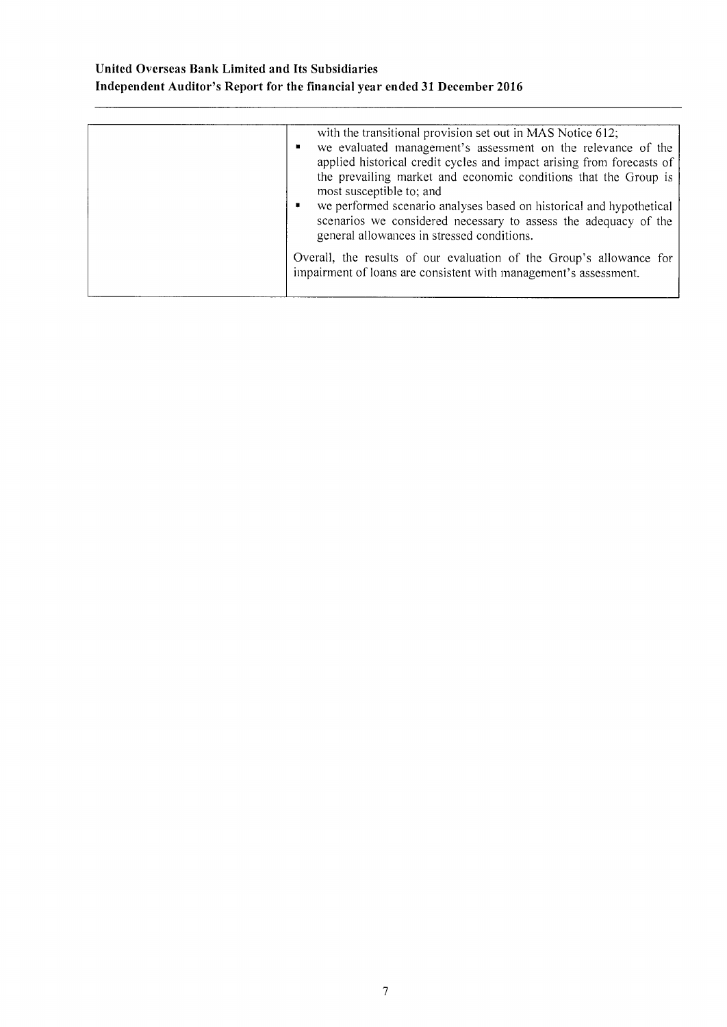| with the transitional provision set out in MAS Notice 612;<br>we evaluated management's assessment on the relevance of the<br>$\blacksquare$<br>applied historical credit cycles and impact arising from forecasts of<br>the prevailing market and economic conditions that the Group is<br>most susceptible to; and<br>we performed scenario analyses based on historical and hypothetical<br>scenarios we considered necessary to assess the adequacy of the<br>general allowances in stressed conditions. |
|--------------------------------------------------------------------------------------------------------------------------------------------------------------------------------------------------------------------------------------------------------------------------------------------------------------------------------------------------------------------------------------------------------------------------------------------------------------------------------------------------------------|
| Overall, the results of our evaluation of the Group's allowance for<br>impairment of loans are consistent with management's assessment.                                                                                                                                                                                                                                                                                                                                                                      |
|                                                                                                                                                                                                                                                                                                                                                                                                                                                                                                              |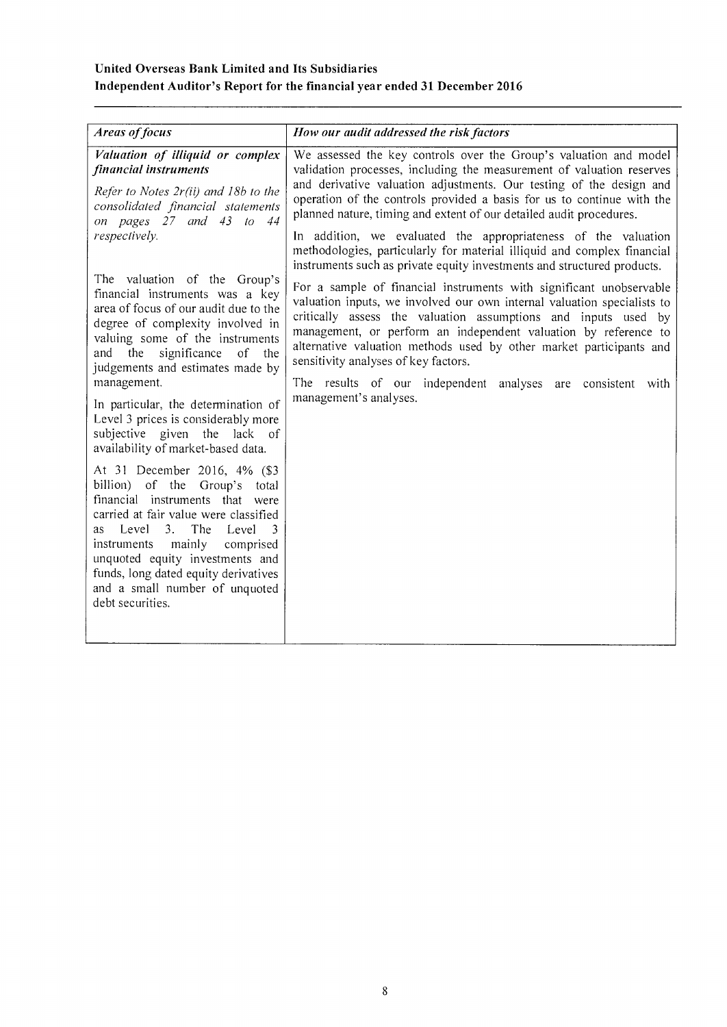| <b>Areas of focus</b>                                                                                                                                                                                                                                                                                                                                                                                                       | How our audit addressed the risk factors                                                                                                                                                                                                                                                                                                                                                                                                                                                                                                                               |
|-----------------------------------------------------------------------------------------------------------------------------------------------------------------------------------------------------------------------------------------------------------------------------------------------------------------------------------------------------------------------------------------------------------------------------|------------------------------------------------------------------------------------------------------------------------------------------------------------------------------------------------------------------------------------------------------------------------------------------------------------------------------------------------------------------------------------------------------------------------------------------------------------------------------------------------------------------------------------------------------------------------|
| Valuation of illiquid or complex<br>financial instruments<br>Refer to Notes 2r(ii) and 18b to the<br>consolidated financial statements<br>on pages 27 and 43 to 44<br>respectively.                                                                                                                                                                                                                                         | We assessed the key controls over the Group's valuation and model<br>validation processes, including the measurement of valuation reserves<br>and derivative valuation adjustments. Our testing of the design and<br>operation of the controls provided a basis for us to continue with the<br>planned nature, timing and extent of our detailed audit procedures.<br>In addition, we evaluated the appropriateness of the valuation<br>methodologies, particularly for material illiquid and complex financial                                                        |
| The valuation of the Group's<br>financial instruments was a key<br>area of focus of our audit due to the<br>degree of complexity involved in<br>valuing some of the instruments<br>significance<br>and the<br>of the<br>judgements and estimates made by<br>management.<br>In particular, the determination of<br>Level 3 prices is considerably more<br>subjective given the lack of<br>availability of market-based data. | instruments such as private equity investments and structured products.<br>For a sample of financial instruments with significant unobservable<br>valuation inputs, we involved our own internal valuation specialists to<br>critically assess the valuation assumptions and inputs used by<br>management, or perform an independent valuation by reference to<br>alternative valuation methods used by other market participants and<br>sensitivity analyses of key factors.<br>The results of our independent analyses are consistent with<br>management's analyses. |
| At 31 December 2016, 4% (\$3<br>billion) of the Group's total<br>financial instruments that were<br>carried at fair value were classified<br>The Level 3<br>Level 3.<br>as<br>instruments mainly<br>comprised<br>unquoted equity investments and<br>funds, long dated equity derivatives<br>and a small number of unquoted<br>debt securities.                                                                              |                                                                                                                                                                                                                                                                                                                                                                                                                                                                                                                                                                        |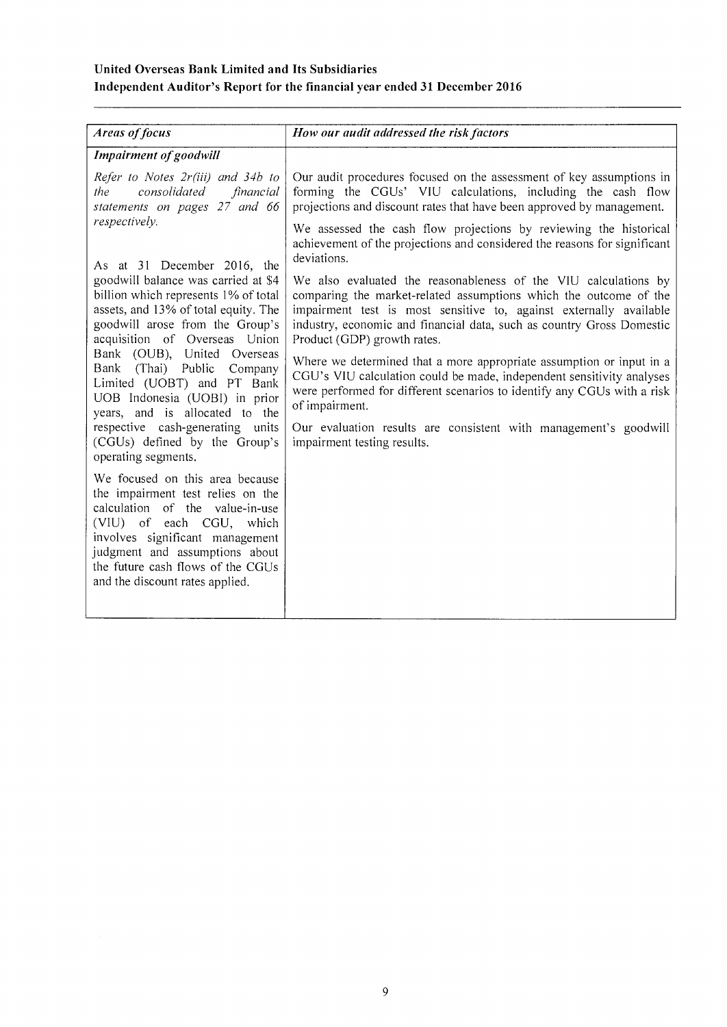| <b>Areas of focus</b>                                                                                                                                                                                                                                                            | How our audit addressed the risk factors                                                                                                                                                                                                                                                                           |
|----------------------------------------------------------------------------------------------------------------------------------------------------------------------------------------------------------------------------------------------------------------------------------|--------------------------------------------------------------------------------------------------------------------------------------------------------------------------------------------------------------------------------------------------------------------------------------------------------------------|
| <b>Impairment of goodwill</b>                                                                                                                                                                                                                                                    |                                                                                                                                                                                                                                                                                                                    |
| Refer to Notes 2r(iii) and 34b to<br>consolidated financial<br>the<br>statements on pages 27 and 66                                                                                                                                                                              | Our audit procedures focused on the assessment of key assumptions in<br>forming the CGUs' VIU calculations, including the cash flow<br>projections and discount rates that have been approved by management.                                                                                                       |
| respectively.<br>As at 31 December 2016, the                                                                                                                                                                                                                                     | We assessed the cash flow projections by reviewing the historical<br>achievement of the projections and considered the reasons for significant<br>deviations.                                                                                                                                                      |
| goodwill balance was carried at \$4<br>billion which represents 1% of total<br>assets, and 13% of total equity. The<br>goodwill arose from the Group's<br>acquisition of Overseas Union                                                                                          | We also evaluated the reasonableness of the VIU calculations by<br>comparing the market-related assumptions which the outcome of the<br>impairment test is most sensitive to, against externally available<br>industry, economic and financial data, such as country Gross Domestic<br>Product (GDP) growth rates. |
| Bank (OUB), United Overseas<br>Bank (Thai) Public Company<br>Limited (UOBT) and PT Bank<br>UOB Indonesia (UOBI) in prior<br>years, and is allocated to the                                                                                                                       | Where we determined that a more appropriate assumption or input in a<br>CGU's VIU calculation could be made, independent sensitivity analyses<br>were performed for different scenarios to identify any CGUs with a risk<br>of impairment.                                                                         |
| respective cash-generating units<br>(CGUs) defined by the Group's<br>operating segments.                                                                                                                                                                                         | Our evaluation results are consistent with management's goodwill<br>impairment testing results.                                                                                                                                                                                                                    |
| We focused on this area because<br>the impairment test relies on the<br>calculation of the value-in-use<br>(VIU) of each CGU, which<br>involves significant management<br>judgment and assumptions about<br>the future cash flows of the CGUs<br>and the discount rates applied. |                                                                                                                                                                                                                                                                                                                    |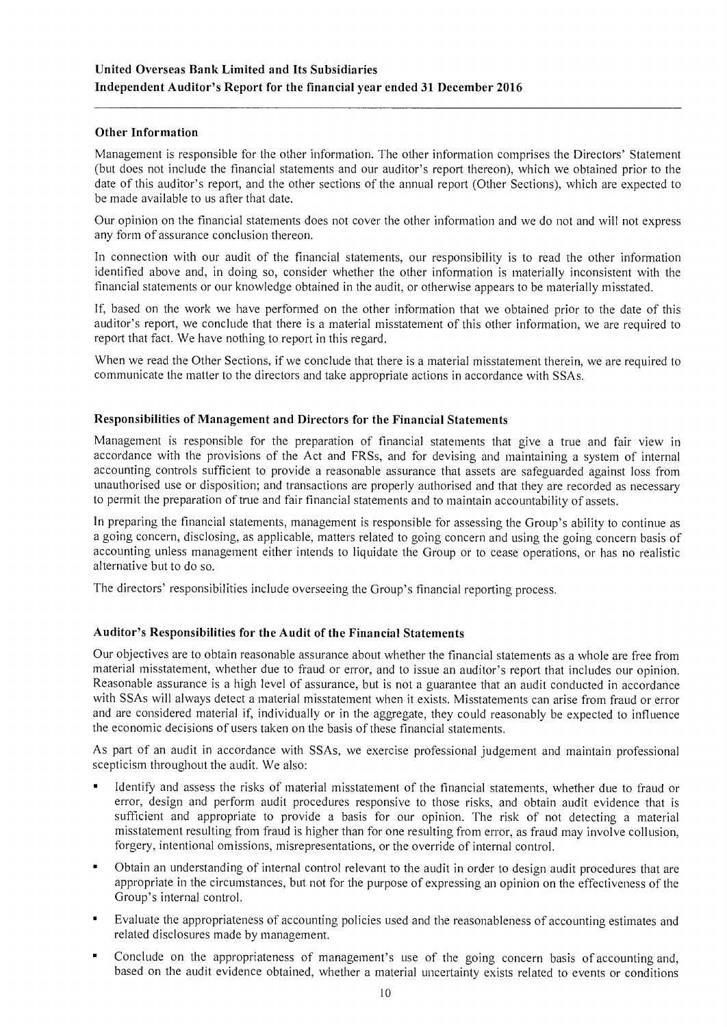#### Other Information

Management is responsible for the other information. The other information comprises the Directors' Statement (but does not include the financial statements and our auditor's report thereon), which we obtained prior to the date of this auditor's report, and the other sections of the annual report (Other Sections), which are expected to be made available to us after that date.

Our opinion on the financial statements does not cover the other information and we do not and will not express any form of assurance conclusion thereon.

In connection with our audit of the financial statements, our responsibility is to read the other information identified above and, in doing so, consider whether the other information is materially inconsistent with the financial statements or our knowledge obtained in the audit, or otherwise appears to be materially misstated.

If, based on the work we have performed on the other information that we obtained prior to the date of this auditor's report, we conclude that there is a material misstatement of this other information, we are required to report that fact. We have nothing to report in this regard.

When we read the Other Sections, if we conclude that there is a material misstatement therein, we are required to communicate the matter to the directors and take appropriate actions in accordance with SSAs.

#### Responsibilities of Management and Directors for the Financial Statements

Management is responsible for the preparation of financial statements that give a true and fair view in accordance with the provisions of the Act and FRSs, and for devising and maintaining a system of internal accounting controls sufficient to provide a reasonable assurance that assets are safeguarded against loss from unauthorised use or disposition; and transactions are properly authorised and that they are recorded as necessary to permit the preparation of true and fair financial statements and to maintain accountability of assets.

In preparing the financial statements, management is responsible for assessing the Group's ability to continue as a going concern, disclosing, as applicable, matters related to going concern and using the going concern basis of accounting unless management either intends to liquidate the Group or to cease operations, or has no realistic alternative but to do so.

The directors' responsibilities include overseeing the Group's financial reporting process.

#### Auditor's Responsibilities for the Audit of the Financial Statements

Our objectives are to obtain reasonable assurance about whether the financial statements as a whole are free from material misstatement, whether due to fraud or error, and to issue an auditor's report that includes our opinion. Reasonable assurance is a high level of assurance, but is not a guarantee that an audit conducted in accordance with SSAs will always detect a material misstatement when it exists. Misstatements can arise from fraud or error and are considered material if, individually or in the aggregate, they could reasonably be expected to influence the economic decisions of users taken on the basis of these financial statements. Auditor's Responsibilities for the Audit of th<br>Our objectives are to obtain reasonable assurane<br>material misstatement, whether due to fraud or<br>Reasonable assurance is a high level of assura<br>with SSAs will always detect a m

As part of an audit in accordance with SSAs, we exercise professional judgement and maintain professional scepticism throughout the audit. We also:

- Identify and assess the risks of material misstatement of the financial statements, whether due to fraud or error, design and perform audit procedures responsive to those risks, and obtain audit evidence that is sufficient and appropriate to provide a basis for our opinion. The risk of not detecting a material misstatement resulting from fraud is higher than for one resulting from error, as fraud may involve collusion, forgery, intentional omissions, misrepresentations, or the override of internal control. Interestion of the base of the base of the base of the and it is accordance with SSAs scepticism throughout the audit. We also:<br>
• Identify and assess the risks of material merror, design and perform audit procedure suffic
- Obtain an understanding of internal control relevant to the audit in order to design audit procedures that are appropriate in the circumstances, but not for the purpose of expressing an opinion on the effectiveness of the Group's internal control.
- Evaluate the appropriateness of accounting policies used and the reasonableness of accounting estimates and related disclosures made by management.
- Conclude on the appropriateness of management's use of the going concern basis of accounting and, based on the audit evidence obtained, whether a material uncertainty exists related to events or conditions